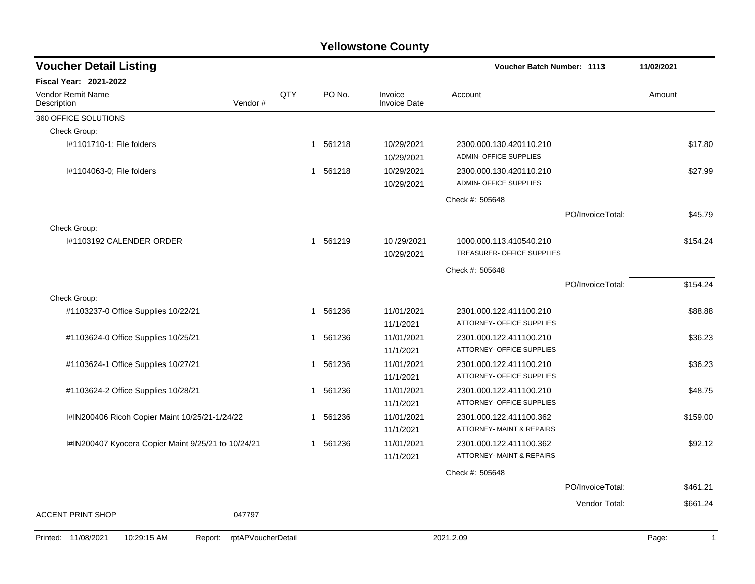| <b>Voucher Detail Listing</b>                       |                    |              |        |                                | <b>Voucher Batch Number: 1113</b>                        |                  | 11/02/2021            |
|-----------------------------------------------------|--------------------|--------------|--------|--------------------------------|----------------------------------------------------------|------------------|-----------------------|
| Fiscal Year: 2021-2022                              |                    |              |        |                                |                                                          |                  |                       |
| Vendor Remit Name<br>Description                    | Vendor#            | QTY          | PO No. | Invoice<br><b>Invoice Date</b> | Account                                                  |                  | Amount                |
| 360 OFFICE SOLUTIONS                                |                    |              |        |                                |                                                          |                  |                       |
| Check Group:                                        |                    |              |        |                                |                                                          |                  |                       |
| I#1101710-1; File folders                           |                    | 1            | 561218 | 10/29/2021<br>10/29/2021       | 2300.000.130.420110.210<br><b>ADMIN- OFFICE SUPPLIES</b> |                  | \$17.80               |
| I#1104063-0; File folders                           |                    | 1            | 561218 | 10/29/2021<br>10/29/2021       | 2300.000.130.420110.210<br><b>ADMIN- OFFICE SUPPLIES</b> |                  | \$27.99               |
|                                                     |                    |              |        |                                | Check #: 505648                                          |                  |                       |
|                                                     |                    |              |        |                                |                                                          | PO/InvoiceTotal: | \$45.79               |
| Check Group:                                        |                    |              |        |                                |                                                          |                  |                       |
| I#1103192 CALENDER ORDER                            |                    | 1            | 561219 | 10/29/2021<br>10/29/2021       | 1000.000.113.410540.210<br>TREASURER- OFFICE SUPPLIES    |                  | \$154.24              |
|                                                     |                    |              |        |                                | Check #: 505648                                          |                  |                       |
|                                                     |                    |              |        |                                |                                                          | PO/InvoiceTotal: | \$154.24              |
| Check Group:                                        |                    |              |        |                                |                                                          |                  |                       |
| #1103237-0 Office Supplies 10/22/21                 |                    | 1            | 561236 | 11/01/2021<br>11/1/2021        | 2301.000.122.411100.210<br>ATTORNEY- OFFICE SUPPLIES     |                  | \$88.88               |
| #1103624-0 Office Supplies 10/25/21                 |                    | 1            | 561236 | 11/01/2021<br>11/1/2021        | 2301.000.122.411100.210<br>ATTORNEY- OFFICE SUPPLIES     |                  | \$36.23               |
| #1103624-1 Office Supplies 10/27/21                 |                    | 1            | 561236 | 11/01/2021<br>11/1/2021        | 2301.000.122.411100.210<br>ATTORNEY- OFFICE SUPPLIES     |                  | \$36.23               |
| #1103624-2 Office Supplies 10/28/21                 |                    | 1            | 561236 | 11/01/2021<br>11/1/2021        | 2301.000.122.411100.210<br>ATTORNEY- OFFICE SUPPLIES     |                  | \$48.75               |
| I#IN200406 Ricoh Copier Maint 10/25/21-1/24/22      |                    | -1           | 561236 | 11/01/2021<br>11/1/2021        | 2301.000.122.411100.362<br>ATTORNEY- MAINT & REPAIRS     |                  | \$159.00              |
| I#IN200407 Kyocera Copier Maint 9/25/21 to 10/24/21 |                    | $\mathbf{1}$ | 561236 | 11/01/2021<br>11/1/2021        | 2301.000.122.411100.362<br>ATTORNEY- MAINT & REPAIRS     |                  | \$92.12               |
|                                                     |                    |              |        |                                | Check #: 505648                                          |                  |                       |
|                                                     |                    |              |        |                                |                                                          | PO/InvoiceTotal: | \$461.21              |
|                                                     |                    |              |        |                                |                                                          | Vendor Total:    | \$661.24              |
| <b>ACCENT PRINT SHOP</b>                            | 047797             |              |        |                                |                                                          |                  |                       |
| Printed: 11/08/2021<br>10:29:15 AM<br>Report:       | rptAPVoucherDetail |              |        |                                | 2021.2.09                                                |                  | Page:<br>$\mathbf{1}$ |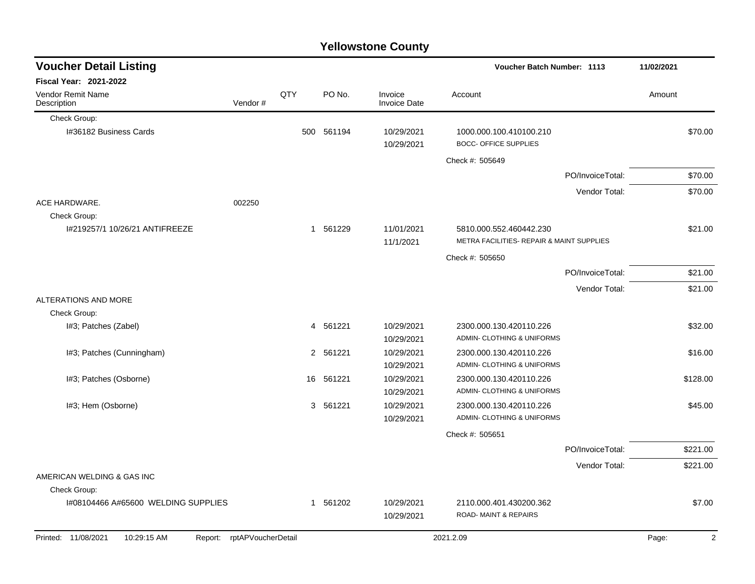|                                     |                            |     |          | <b>Yellowstone County</b>      |                                                         |                  |                         |
|-------------------------------------|----------------------------|-----|----------|--------------------------------|---------------------------------------------------------|------------------|-------------------------|
| <b>Voucher Detail Listing</b>       |                            |     |          |                                | Voucher Batch Number: 1113                              |                  | 11/02/2021              |
| Fiscal Year: 2021-2022              |                            |     |          |                                |                                                         |                  |                         |
| Vendor Remit Name<br>Description    | Vendor#                    | QTY | PO No.   | Invoice<br><b>Invoice Date</b> | Account                                                 |                  | Amount                  |
| Check Group:                        |                            |     |          |                                |                                                         |                  |                         |
| I#36182 Business Cards              |                            | 500 | 561194   | 10/29/2021<br>10/29/2021       | 1000.000.100.410100.210<br><b>BOCC- OFFICE SUPPLIES</b> |                  | \$70.00                 |
|                                     |                            |     |          |                                | Check #: 505649                                         |                  |                         |
|                                     |                            |     |          |                                |                                                         | PO/InvoiceTotal: | \$70.00                 |
|                                     |                            |     |          |                                |                                                         | Vendor Total:    | \$70.00                 |
| ACE HARDWARE.<br>Check Group:       | 002250                     |     |          |                                |                                                         |                  |                         |
| I#219257/1 10/26/21 ANTIFREEZE      |                            | 1   | 561229   | 11/01/2021                     | 5810.000.552.460442.230                                 |                  | \$21.00                 |
|                                     |                            |     |          | 11/1/2021                      | METRA FACILITIES- REPAIR & MAINT SUPPLIES               |                  |                         |
|                                     |                            |     |          |                                | Check #: 505650                                         |                  |                         |
|                                     |                            |     |          |                                |                                                         | PO/InvoiceTotal: | \$21.00                 |
|                                     |                            |     |          |                                |                                                         | Vendor Total:    | \$21.00                 |
| ALTERATIONS AND MORE                |                            |     |          |                                |                                                         |                  |                         |
| Check Group:                        |                            |     |          |                                |                                                         |                  |                         |
| I#3; Patches (Zabel)                |                            | 4   | 561221   | 10/29/2021                     | 2300.000.130.420110.226                                 |                  | \$32.00                 |
|                                     |                            |     |          | 10/29/2021                     | ADMIN- CLOTHING & UNIFORMS                              |                  |                         |
| I#3; Patches (Cunningham)           |                            |     | 2 561221 | 10/29/2021<br>10/29/2021       | 2300.000.130.420110.226<br>ADMIN- CLOTHING & UNIFORMS   |                  | \$16.00                 |
| I#3; Patches (Osborne)              |                            | 16  | 561221   | 10/29/2021                     | 2300.000.130.420110.226                                 |                  | \$128.00                |
|                                     |                            |     |          | 10/29/2021                     | ADMIN- CLOTHING & UNIFORMS                              |                  |                         |
| I#3; Hem (Osborne)                  |                            | 3   | 561221   | 10/29/2021                     | 2300.000.130.420110.226                                 |                  | \$45.00                 |
|                                     |                            |     |          | 10/29/2021                     | ADMIN- CLOTHING & UNIFORMS                              |                  |                         |
|                                     |                            |     |          |                                | Check #: 505651                                         |                  |                         |
|                                     |                            |     |          |                                |                                                         | PO/InvoiceTotal: | \$221.00                |
|                                     |                            |     |          |                                |                                                         | Vendor Total:    | \$221.00                |
| AMERICAN WELDING & GAS INC          |                            |     |          |                                |                                                         |                  |                         |
| Check Group:                        |                            |     |          |                                |                                                         |                  |                         |
| I#08104466 A#65600 WELDING SUPPLIES |                            |     | 1 561202 | 10/29/2021                     | 2110.000.401.430200.362                                 |                  | \$7.00                  |
|                                     |                            |     |          | 10/29/2021                     | ROAD- MAINT & REPAIRS                                   |                  |                         |
| Printed: 11/08/2021<br>10:29:15 AM  | Report: rptAPVoucherDetail |     |          |                                | 2021.2.09                                               |                  | Page:<br>$\overline{2}$ |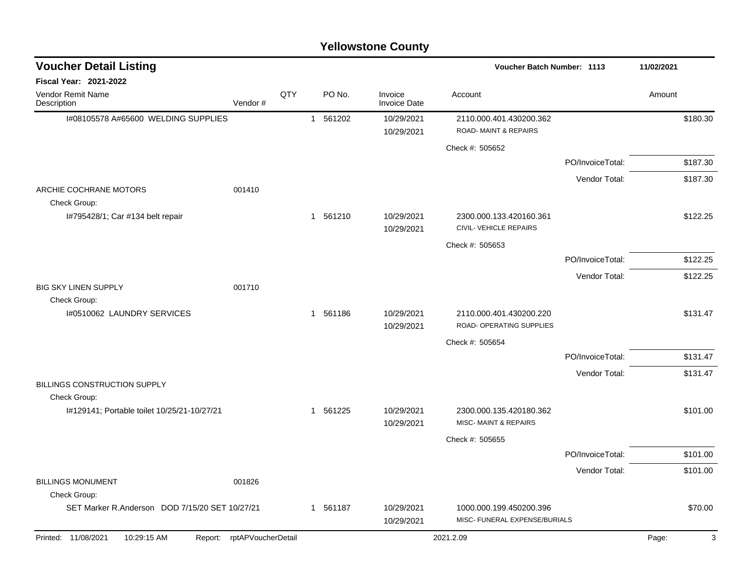| <b>Voucher Detail Listing</b>                  |                            |     |              |          |                                | <b>Voucher Batch Number: 1113</b>                        |                  |        | 11/02/2021 |
|------------------------------------------------|----------------------------|-----|--------------|----------|--------------------------------|----------------------------------------------------------|------------------|--------|------------|
| Fiscal Year: 2021-2022                         |                            |     |              |          |                                |                                                          |                  |        |            |
| Vendor Remit Name<br>Description               | Vendor#                    | QTY |              | PO No.   | Invoice<br><b>Invoice Date</b> | Account                                                  |                  | Amount |            |
| I#08105578 A#65600 WELDING SUPPLIES            |                            |     |              | 1 561202 | 10/29/2021                     | 2110.000.401.430200.362                                  |                  |        | \$180.30   |
|                                                |                            |     |              |          | 10/29/2021                     | <b>ROAD-MAINT &amp; REPAIRS</b>                          |                  |        |            |
|                                                |                            |     |              |          |                                | Check #: 505652                                          |                  |        |            |
|                                                |                            |     |              |          |                                |                                                          | PO/InvoiceTotal: |        | \$187.30   |
|                                                |                            |     |              |          |                                |                                                          | Vendor Total:    |        | \$187.30   |
| ARCHIE COCHRANE MOTORS<br>Check Group:         | 001410                     |     |              |          |                                |                                                          |                  |        |            |
| I#795428/1; Car #134 belt repair               |                            |     |              | 1 561210 | 10/29/2021<br>10/29/2021       | 2300.000.133.420160.361<br>CIVIL- VEHICLE REPAIRS        |                  |        | \$122.25   |
|                                                |                            |     |              |          |                                | Check #: 505653                                          |                  |        |            |
|                                                |                            |     |              |          |                                |                                                          | PO/InvoiceTotal: |        | \$122.25   |
|                                                |                            |     |              |          |                                |                                                          | Vendor Total:    |        | \$122.25   |
| <b>BIG SKY LINEN SUPPLY</b><br>Check Group:    | 001710                     |     |              |          |                                |                                                          |                  |        |            |
| 1#0510062 LAUNDRY SERVICES                     |                            |     |              | 1 561186 | 10/29/2021                     | 2110.000.401.430200.220                                  |                  |        | \$131.47   |
|                                                |                            |     |              |          | 10/29/2021                     | ROAD- OPERATING SUPPLIES                                 |                  |        |            |
|                                                |                            |     |              |          |                                | Check #: 505654                                          |                  |        |            |
|                                                |                            |     |              |          |                                |                                                          | PO/InvoiceTotal: |        | \$131.47   |
| <b>BILLINGS CONSTRUCTION SUPPLY</b>            |                            |     |              |          |                                |                                                          | Vendor Total:    |        | \$131.47   |
| Check Group:                                   |                            |     |              |          |                                |                                                          |                  |        |            |
| I#129141; Portable toilet 10/25/21-10/27/21    |                            |     | $\mathbf{1}$ | 561225   | 10/29/2021<br>10/29/2021       | 2300.000.135.420180.362<br>MISC- MAINT & REPAIRS         |                  |        | \$101.00   |
|                                                |                            |     |              |          |                                | Check #: 505655                                          |                  |        |            |
|                                                |                            |     |              |          |                                |                                                          | PO/InvoiceTotal: |        | \$101.00   |
|                                                |                            |     |              |          |                                |                                                          | Vendor Total:    |        | \$101.00   |
| <b>BILLINGS MONUMENT</b><br>Check Group:       | 001826                     |     |              |          |                                |                                                          |                  |        |            |
| SET Marker R.Anderson DOD 7/15/20 SET 10/27/21 |                            |     | $\mathbf{1}$ | 561187   | 10/29/2021<br>10/29/2021       | 1000.000.199.450200.396<br>MISC- FUNERAL EXPENSE/BURIALS |                  |        | \$70.00    |
| 10:29:15 AM<br>Printed: 11/08/2021             | Report: rptAPVoucherDetail |     |              |          |                                | 2021.2.09                                                |                  | Page:  | 3          |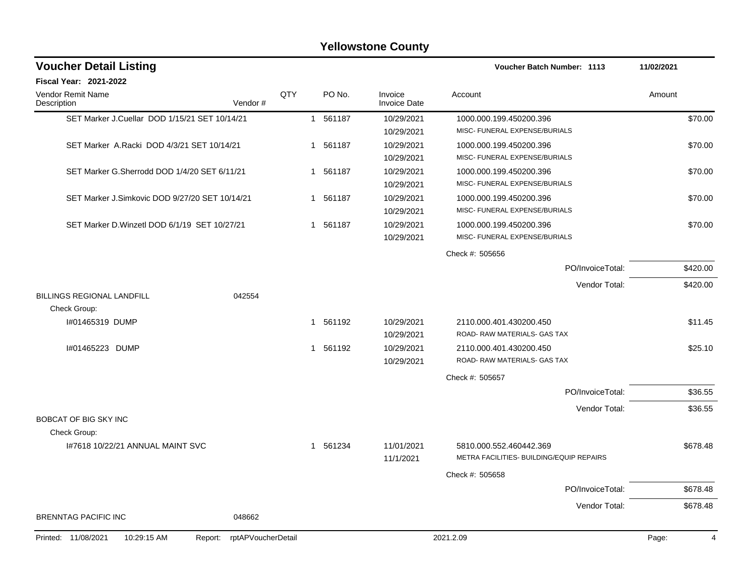|                                                | <b>Yellowstone County</b> |     |          |                                |                                          |            |  |  |  |  |  |  |
|------------------------------------------------|---------------------------|-----|----------|--------------------------------|------------------------------------------|------------|--|--|--|--|--|--|
| <b>Voucher Detail Listing</b>                  |                           |     |          |                                | <b>Voucher Batch Number: 1113</b>        | 11/02/2021 |  |  |  |  |  |  |
| Fiscal Year: 2021-2022                         |                           |     |          |                                |                                          |            |  |  |  |  |  |  |
| Vendor Remit Name<br>Description               | Vendor#                   | QTY | PO No.   | Invoice<br><b>Invoice Date</b> | Account                                  | Amount     |  |  |  |  |  |  |
| SET Marker J.Cuellar DOD 1/15/21 SET 10/14/21  |                           |     | 1 561187 | 10/29/2021                     | 1000.000.199.450200.396                  | \$70.00    |  |  |  |  |  |  |
|                                                |                           |     |          | 10/29/2021                     | MISC- FUNERAL EXPENSE/BURIALS            |            |  |  |  |  |  |  |
| SET Marker A.Racki DOD 4/3/21 SET 10/14/21     |                           |     | 1 561187 | 10/29/2021                     | 1000.000.199.450200.396                  | \$70.00    |  |  |  |  |  |  |
|                                                |                           |     |          | 10/29/2021                     | MISC- FUNERAL EXPENSE/BURIALS            |            |  |  |  |  |  |  |
| SET Marker G.Sherrodd DOD 1/4/20 SET 6/11/21   |                           |     | 1 561187 | 10/29/2021                     | 1000.000.199.450200.396                  | \$70.00    |  |  |  |  |  |  |
|                                                |                           |     |          | 10/29/2021                     | MISC- FUNERAL EXPENSE/BURIALS            |            |  |  |  |  |  |  |
| SET Marker J.Simkovic DOD 9/27/20 SET 10/14/21 |                           |     | 1 561187 | 10/29/2021                     | 1000.000.199.450200.396                  | \$70.00    |  |  |  |  |  |  |
|                                                |                           |     |          | 10/29/2021                     | MISC- FUNERAL EXPENSE/BURIALS            |            |  |  |  |  |  |  |
| SET Marker D. Winzetl DOD 6/1/19 SET 10/27/21  |                           |     | 1 561187 | 10/29/2021                     | 1000.000.199.450200.396                  | \$70.00    |  |  |  |  |  |  |
|                                                |                           |     |          | 10/29/2021                     | MISC- FUNERAL EXPENSE/BURIALS            |            |  |  |  |  |  |  |
|                                                |                           |     |          |                                | Check #: 505656                          |            |  |  |  |  |  |  |
|                                                |                           |     |          |                                | PO/InvoiceTotal:                         | \$420.00   |  |  |  |  |  |  |
|                                                |                           |     |          |                                | Vendor Total:                            | \$420.00   |  |  |  |  |  |  |
| <b>BILLINGS REGIONAL LANDFILL</b>              | 042554                    |     |          |                                |                                          |            |  |  |  |  |  |  |
| Check Group:                                   |                           |     |          |                                |                                          |            |  |  |  |  |  |  |
| I#01465319 DUMP                                |                           |     | 1 561192 | 10/29/2021                     | 2110.000.401.430200.450                  | \$11.45    |  |  |  |  |  |  |
|                                                |                           |     |          | 10/29/2021                     | ROAD-RAW MATERIALS- GAS TAX              |            |  |  |  |  |  |  |
| 1#01465223 DUMP                                |                           | 1   | 561192   | 10/29/2021                     | 2110.000.401.430200.450                  | \$25.10    |  |  |  |  |  |  |
|                                                |                           |     |          | 10/29/2021                     | ROAD- RAW MATERIALS- GAS TAX             |            |  |  |  |  |  |  |
|                                                |                           |     |          |                                | Check #: 505657                          |            |  |  |  |  |  |  |
|                                                |                           |     |          |                                | PO/InvoiceTotal:                         | \$36.55    |  |  |  |  |  |  |
|                                                |                           |     |          |                                | Vendor Total:                            | \$36.55    |  |  |  |  |  |  |
| BOBCAT OF BIG SKY INC                          |                           |     |          |                                |                                          |            |  |  |  |  |  |  |
| Check Group:                                   |                           |     |          |                                |                                          |            |  |  |  |  |  |  |
| 1#7618 10/22/21 ANNUAL MAINT SVC               |                           |     | 1 561234 | 11/01/2021                     | 5810.000.552.460442.369                  | \$678.48   |  |  |  |  |  |  |
|                                                |                           |     |          | 11/1/2021                      | METRA FACILITIES- BUILDING/EQUIP REPAIRS |            |  |  |  |  |  |  |
|                                                |                           |     |          |                                | Check #: 505658                          |            |  |  |  |  |  |  |
|                                                |                           |     |          |                                | PO/InvoiceTotal:                         | \$678.48   |  |  |  |  |  |  |
|                                                |                           |     |          |                                | Vendor Total:                            | \$678.48   |  |  |  |  |  |  |
| <b>BRENNTAG PACIFIC INC</b>                    | 048662                    |     |          |                                |                                          |            |  |  |  |  |  |  |
| Printed: 11/08/2021<br>10:29:15 AM<br>Report:  | rptAPVoucherDetail        |     |          |                                | 2021.2.09                                | Page:<br>4 |  |  |  |  |  |  |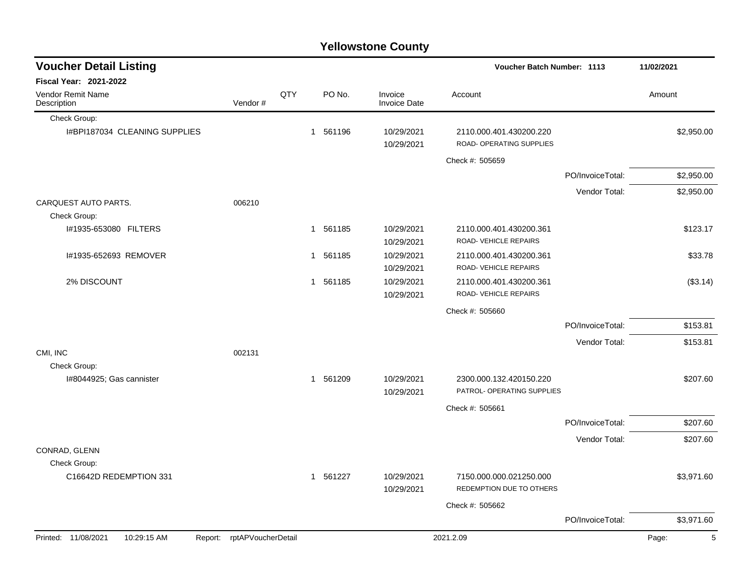|                                    |                            |     |                        | <b>Yellowstone County</b>      |                                                       |                  |            |
|------------------------------------|----------------------------|-----|------------------------|--------------------------------|-------------------------------------------------------|------------------|------------|
| <b>Voucher Detail Listing</b>      |                            |     |                        |                                | <b>Voucher Batch Number: 1113</b>                     |                  | 11/02/2021 |
| Fiscal Year: 2021-2022             |                            |     |                        |                                |                                                       |                  |            |
| Vendor Remit Name<br>Description   | Vendor#                    | QTY | PO No.                 | Invoice<br><b>Invoice Date</b> | Account                                               |                  | Amount     |
| Check Group:                       |                            |     |                        |                                |                                                       |                  |            |
| I#BPI187034 CLEANING SUPPLIES      |                            |     | 561196<br>1            | 10/29/2021<br>10/29/2021       | 2110.000.401.430200.220<br>ROAD- OPERATING SUPPLIES   |                  | \$2,950.00 |
|                                    |                            |     |                        |                                | Check #: 505659                                       |                  |            |
|                                    |                            |     |                        |                                |                                                       | PO/InvoiceTotal: | \$2,950.00 |
|                                    |                            |     |                        |                                |                                                       | Vendor Total:    | \$2,950.00 |
| CARQUEST AUTO PARTS.               | 006210                     |     |                        |                                |                                                       |                  |            |
| Check Group:                       |                            |     |                        |                                |                                                       |                  |            |
| I#1935-653080 FILTERS              |                            |     | 1 561185               | 10/29/2021                     | 2110.000.401.430200.361                               |                  | \$123.17   |
|                                    |                            |     |                        | 10/29/2021                     | ROAD-VEHICLE REPAIRS                                  |                  |            |
| I#1935-652693 REMOVER              |                            |     | 561185<br>$\mathbf{1}$ | 10/29/2021                     | 2110.000.401.430200.361                               |                  | \$33.78    |
|                                    |                            |     |                        | 10/29/2021                     | ROAD-VEHICLE REPAIRS                                  |                  |            |
| 2% DISCOUNT                        |                            |     | 1 561185               | 10/29/2021                     | 2110.000.401.430200.361<br>ROAD-VEHICLE REPAIRS       |                  | (\$3.14)   |
|                                    |                            |     |                        | 10/29/2021                     |                                                       |                  |            |
|                                    |                            |     |                        |                                | Check #: 505660                                       |                  |            |
|                                    |                            |     |                        |                                |                                                       | PO/InvoiceTotal: | \$153.81   |
|                                    |                            |     |                        |                                |                                                       | Vendor Total:    | \$153.81   |
| CMI, INC                           | 002131                     |     |                        |                                |                                                       |                  |            |
| Check Group:                       |                            |     |                        |                                |                                                       |                  |            |
| I#8044925; Gas cannister           |                            |     | 1 561209               | 10/29/2021<br>10/29/2021       | 2300.000.132.420150.220<br>PATROL- OPERATING SUPPLIES |                  | \$207.60   |
|                                    |                            |     |                        |                                | Check #: 505661                                       |                  |            |
|                                    |                            |     |                        |                                |                                                       | PO/InvoiceTotal: | \$207.60   |
|                                    |                            |     |                        |                                |                                                       | Vendor Total:    | \$207.60   |
| CONRAD, GLENN                      |                            |     |                        |                                |                                                       |                  |            |
| Check Group:                       |                            |     |                        |                                |                                                       |                  |            |
| C16642D REDEMPTION 331             |                            |     | 1 561227               | 10/29/2021<br>10/29/2021       | 7150.000.000.021250.000<br>REDEMPTION DUE TO OTHERS   |                  | \$3,971.60 |
|                                    |                            |     |                        |                                | Check #: 505662                                       |                  |            |
|                                    |                            |     |                        |                                |                                                       | PO/InvoiceTotal: | \$3,971.60 |
| Printed: 11/08/2021<br>10:29:15 AM | Report: rptAPVoucherDetail |     |                        |                                | 2021.2.09                                             |                  | Page:<br>5 |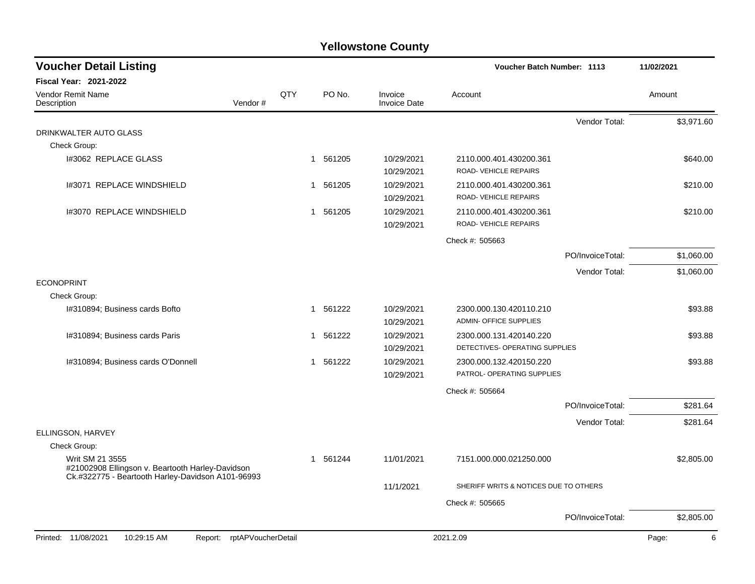| <b>Voucher Detail Listing</b>                                                                                            |                    |     |                        |                                | <b>Voucher Batch Number: 1113</b>               |                  | 11/02/2021 |
|--------------------------------------------------------------------------------------------------------------------------|--------------------|-----|------------------------|--------------------------------|-------------------------------------------------|------------------|------------|
| Fiscal Year: 2021-2022                                                                                                   |                    |     |                        |                                |                                                 |                  |            |
| <b>Vendor Remit Name</b><br>Description                                                                                  | Vendor#            | QTY | PO No.                 | Invoice<br><b>Invoice Date</b> | Account                                         |                  | Amount     |
|                                                                                                                          |                    |     |                        |                                |                                                 | Vendor Total:    | \$3,971.60 |
| DRINKWALTER AUTO GLASS                                                                                                   |                    |     |                        |                                |                                                 |                  |            |
| Check Group:                                                                                                             |                    |     |                        |                                |                                                 |                  |            |
| I#3062 REPLACE GLASS                                                                                                     |                    |     | 1 561205               | 10/29/2021<br>10/29/2021       | 2110.000.401.430200.361<br>ROAD-VEHICLE REPAIRS |                  | \$640.00   |
| 1#3071 REPLACE WINDSHIELD                                                                                                |                    |     | 1 561205               | 10/29/2021                     | 2110.000.401.430200.361                         |                  | \$210.00   |
|                                                                                                                          |                    |     |                        | 10/29/2021                     | ROAD-VEHICLE REPAIRS                            |                  |            |
| 1#3070 REPLACE WINDSHIELD                                                                                                |                    |     | 1 561205               | 10/29/2021                     | 2110.000.401.430200.361                         |                  | \$210.00   |
|                                                                                                                          |                    |     |                        | 10/29/2021                     | ROAD-VEHICLE REPAIRS                            |                  |            |
|                                                                                                                          |                    |     |                        |                                | Check #: 505663                                 |                  |            |
|                                                                                                                          |                    |     |                        |                                |                                                 | PO/InvoiceTotal: | \$1,060.00 |
|                                                                                                                          |                    |     |                        |                                |                                                 | Vendor Total:    | \$1,060.00 |
| <b>ECONOPRINT</b>                                                                                                        |                    |     |                        |                                |                                                 |                  |            |
| Check Group:                                                                                                             |                    |     |                        |                                |                                                 |                  |            |
| I#310894; Business cards Bofto                                                                                           |                    |     | 561222<br>$\mathbf{1}$ | 10/29/2021                     | 2300.000.130.420110.210                         |                  | \$93.88    |
|                                                                                                                          |                    |     |                        | 10/29/2021                     | ADMIN- OFFICE SUPPLIES                          |                  |            |
| I#310894; Business cards Paris                                                                                           |                    |     | 561222<br>1            | 10/29/2021                     | 2300.000.131.420140.220                         |                  | \$93.88    |
|                                                                                                                          |                    |     |                        | 10/29/2021                     | DETECTIVES- OPERATING SUPPLIES                  |                  |            |
| I#310894; Business cards O'Donnell                                                                                       |                    |     | 1 561222               | 10/29/2021                     | 2300.000.132.420150.220                         |                  | \$93.88    |
|                                                                                                                          |                    |     |                        | 10/29/2021                     | PATROL- OPERATING SUPPLIES                      |                  |            |
|                                                                                                                          |                    |     |                        |                                | Check #: 505664                                 |                  |            |
|                                                                                                                          |                    |     |                        |                                |                                                 | PO/InvoiceTotal: | \$281.64   |
|                                                                                                                          |                    |     |                        |                                |                                                 | Vendor Total:    | \$281.64   |
| ELLINGSON, HARVEY                                                                                                        |                    |     |                        |                                |                                                 |                  |            |
| Check Group:                                                                                                             |                    |     |                        |                                |                                                 |                  |            |
| Writ SM 21 3555<br>#21002908 Ellingson v. Beartooth Harley-Davidson<br>Ck.#322775 - Beartooth Harley-Davidson A101-96993 |                    |     | 1 561244               | 11/01/2021                     | 7151.000.000.021250.000                         |                  | \$2,805.00 |
|                                                                                                                          |                    |     |                        | 11/1/2021                      | SHERIFF WRITS & NOTICES DUE TO OTHERS           |                  |            |
|                                                                                                                          |                    |     |                        |                                | Check #: 505665                                 |                  |            |
|                                                                                                                          |                    |     |                        |                                |                                                 | PO/InvoiceTotal: | \$2,805.00 |
| Printed: 11/08/2021<br>10:29:15 AM<br>Report:                                                                            | rptAPVoucherDetail |     |                        |                                | 2021.2.09                                       |                  | Page:<br>6 |
|                                                                                                                          |                    |     |                        |                                |                                                 |                  |            |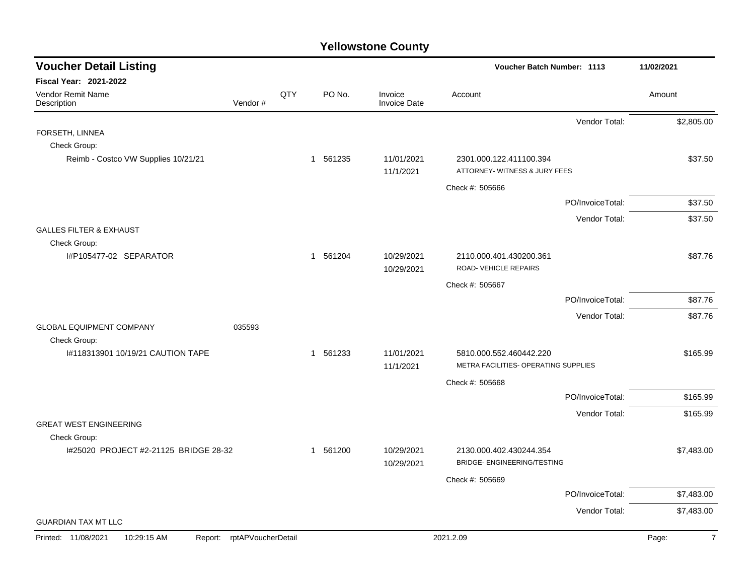| <b>Voucher Detail Listing</b>                 |                    |     |          |                                | Voucher Batch Number: 1113                                    |                  | 11/02/2021              |
|-----------------------------------------------|--------------------|-----|----------|--------------------------------|---------------------------------------------------------------|------------------|-------------------------|
| <b>Fiscal Year: 2021-2022</b>                 |                    |     |          |                                |                                                               |                  |                         |
| Vendor Remit Name<br>Description              | Vendor#            | QTY | PO No.   | Invoice<br><b>Invoice Date</b> | Account                                                       |                  | Amount                  |
|                                               |                    |     |          |                                |                                                               | Vendor Total:    | \$2,805.00              |
| FORSETH, LINNEA                               |                    |     |          |                                |                                                               |                  |                         |
| Check Group:                                  |                    |     |          |                                |                                                               |                  |                         |
| Reimb - Costco VW Supplies 10/21/21           |                    |     | 1 561235 | 11/01/2021<br>11/1/2021        | 2301.000.122.411100.394<br>ATTORNEY- WITNESS & JURY FEES      |                  | \$37.50                 |
|                                               |                    |     |          |                                | Check #: 505666                                               |                  |                         |
|                                               |                    |     |          |                                |                                                               | PO/InvoiceTotal: | \$37.50                 |
|                                               |                    |     |          |                                |                                                               | Vendor Total:    | \$37.50                 |
| <b>GALLES FILTER &amp; EXHAUST</b>            |                    |     |          |                                |                                                               |                  |                         |
| Check Group:                                  |                    |     |          |                                |                                                               |                  |                         |
| I#P105477-02 SEPARATOR                        |                    |     | 1 561204 | 10/29/2021                     | 2110.000.401.430200.361<br>ROAD-VEHICLE REPAIRS               |                  | \$87.76                 |
|                                               |                    |     |          | 10/29/2021                     |                                                               |                  |                         |
|                                               |                    |     |          |                                | Check #: 505667                                               |                  |                         |
|                                               |                    |     |          |                                |                                                               | PO/InvoiceTotal: | \$87.76                 |
| <b>GLOBAL EQUIPMENT COMPANY</b>               | 035593             |     |          |                                |                                                               | Vendor Total:    | \$87.76                 |
| Check Group:                                  |                    |     |          |                                |                                                               |                  |                         |
| I#118313901 10/19/21 CAUTION TAPE             |                    |     | 1 561233 | 11/01/2021                     | 5810.000.552.460442.220                                       |                  | \$165.99                |
|                                               |                    |     |          | 11/1/2021                      | METRA FACILITIES- OPERATING SUPPLIES                          |                  |                         |
|                                               |                    |     |          |                                | Check #: 505668                                               |                  |                         |
|                                               |                    |     |          |                                |                                                               | PO/InvoiceTotal: | \$165.99                |
|                                               |                    |     |          |                                |                                                               | Vendor Total:    | \$165.99                |
| <b>GREAT WEST ENGINEERING</b>                 |                    |     |          |                                |                                                               |                  |                         |
| Check Group:                                  |                    |     |          |                                |                                                               |                  |                         |
| I#25020 PROJECT #2-21125 BRIDGE 28-32         |                    |     | 1 561200 | 10/29/2021<br>10/29/2021       | 2130.000.402.430244.354<br><b>BRIDGE- ENGINEERING/TESTING</b> |                  | \$7,483.00              |
|                                               |                    |     |          |                                | Check #: 505669                                               |                  |                         |
|                                               |                    |     |          |                                |                                                               | PO/InvoiceTotal: | \$7,483.00              |
|                                               |                    |     |          |                                |                                                               | Vendor Total:    | \$7,483.00              |
| <b>GUARDIAN TAX MT LLC</b>                    |                    |     |          |                                |                                                               |                  |                         |
| Printed: 11/08/2021<br>10:29:15 AM<br>Report: | rptAPVoucherDetail |     |          |                                | 2021.2.09                                                     |                  | $\overline{7}$<br>Page: |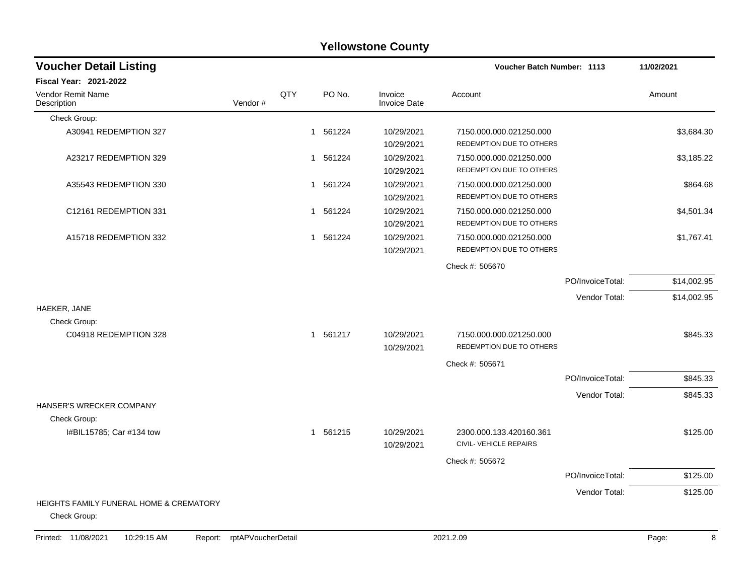| <b>Yellowstone County</b>                                          |         |             |          |                                |                                                     |                  |             |  |  |  |
|--------------------------------------------------------------------|---------|-------------|----------|--------------------------------|-----------------------------------------------------|------------------|-------------|--|--|--|
| <b>Voucher Detail Listing</b>                                      |         |             |          |                                | <b>Voucher Batch Number: 1113</b>                   |                  | 11/02/2021  |  |  |  |
| <b>Fiscal Year: 2021-2022</b>                                      |         |             |          |                                |                                                     |                  |             |  |  |  |
| Vendor Remit Name<br>Description                                   | Vendor# | QTY         | PO No.   | Invoice<br><b>Invoice Date</b> | Account                                             |                  | Amount      |  |  |  |
| Check Group:                                                       |         |             |          |                                |                                                     |                  |             |  |  |  |
| A30941 REDEMPTION 327                                              |         | $\mathbf 1$ | 561224   | 10/29/2021<br>10/29/2021       | 7150.000.000.021250.000<br>REDEMPTION DUE TO OTHERS |                  | \$3,684.30  |  |  |  |
| A23217 REDEMPTION 329                                              |         | 1           | 561224   | 10/29/2021<br>10/29/2021       | 7150.000.000.021250.000<br>REDEMPTION DUE TO OTHERS |                  | \$3,185.22  |  |  |  |
| A35543 REDEMPTION 330                                              |         | $\mathbf 1$ | 561224   | 10/29/2021<br>10/29/2021       | 7150.000.000.021250.000<br>REDEMPTION DUE TO OTHERS |                  | \$864.68    |  |  |  |
| C12161 REDEMPTION 331                                              |         | $\mathbf 1$ | 561224   | 10/29/2021<br>10/29/2021       | 7150.000.000.021250.000<br>REDEMPTION DUE TO OTHERS |                  | \$4,501.34  |  |  |  |
| A15718 REDEMPTION 332                                              |         | $\mathbf 1$ | 561224   | 10/29/2021<br>10/29/2021       | 7150.000.000.021250.000<br>REDEMPTION DUE TO OTHERS |                  | \$1,767.41  |  |  |  |
|                                                                    |         |             |          |                                | Check #: 505670                                     |                  |             |  |  |  |
|                                                                    |         |             |          |                                |                                                     | PO/InvoiceTotal: | \$14,002.95 |  |  |  |
|                                                                    |         |             |          |                                |                                                     | Vendor Total:    | \$14,002.95 |  |  |  |
| HAEKER, JANE<br>Check Group:                                       |         |             |          |                                |                                                     |                  |             |  |  |  |
| C04918 REDEMPTION 328                                              |         |             | 1 561217 | 10/29/2021<br>10/29/2021       | 7150.000.000.021250.000<br>REDEMPTION DUE TO OTHERS |                  | \$845.33    |  |  |  |
|                                                                    |         |             |          |                                | Check #: 505671                                     |                  |             |  |  |  |
|                                                                    |         |             |          |                                |                                                     | PO/InvoiceTotal: | \$845.33    |  |  |  |
| HANSER'S WRECKER COMPANY                                           |         |             |          |                                |                                                     | Vendor Total:    | \$845.33    |  |  |  |
| Check Group:                                                       |         |             |          |                                |                                                     |                  |             |  |  |  |
| I#BIL15785; Car #134 tow                                           |         |             | 1 561215 | 10/29/2021<br>10/29/2021       | 2300.000.133.420160.361<br>CIVIL- VEHICLE REPAIRS   |                  | \$125.00    |  |  |  |
|                                                                    |         |             |          |                                | Check #: 505672                                     |                  |             |  |  |  |
|                                                                    |         |             |          |                                |                                                     | PO/InvoiceTotal: | \$125.00    |  |  |  |
|                                                                    |         |             |          |                                |                                                     | Vendor Total:    | \$125.00    |  |  |  |
| <b>HEIGHTS FAMILY FUNERAL HOME &amp; CREMATORY</b><br>Check Group: |         |             |          |                                |                                                     |                  |             |  |  |  |

#### Printed: 11/08/2021 10:29:15 AM Report: rptAPVoucherDetail 2021.2.09 2021.2.09 Page: Page: 8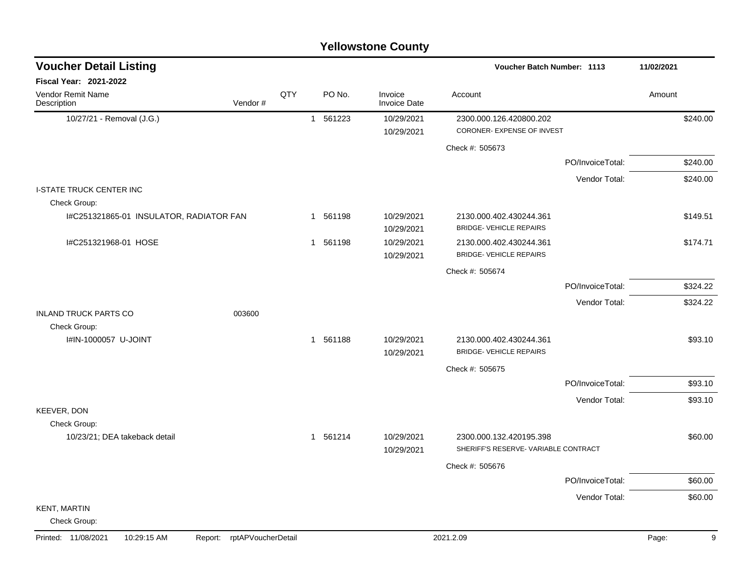|                                         | <b>Yellowstone County</b>  |     |                        |                                |                                                                |                  |            |  |  |  |  |  |
|-----------------------------------------|----------------------------|-----|------------------------|--------------------------------|----------------------------------------------------------------|------------------|------------|--|--|--|--|--|
| <b>Voucher Detail Listing</b>           |                            |     |                        |                                | <b>Voucher Batch Number: 1113</b>                              |                  | 11/02/2021 |  |  |  |  |  |
| Fiscal Year: 2021-2022                  |                            |     |                        |                                |                                                                |                  |            |  |  |  |  |  |
| Vendor Remit Name<br>Description        | Vendor#                    | QTY | PO No.                 | Invoice<br><b>Invoice Date</b> | Account                                                        |                  | Amount     |  |  |  |  |  |
| 10/27/21 - Removal (J.G.)               |                            |     | 1 561223               | 10/29/2021                     | 2300.000.126.420800.202                                        |                  | \$240.00   |  |  |  |  |  |
|                                         |                            |     |                        | 10/29/2021                     | CORONER- EXPENSE OF INVEST                                     |                  |            |  |  |  |  |  |
|                                         |                            |     |                        |                                | Check #: 505673                                                |                  |            |  |  |  |  |  |
|                                         |                            |     |                        |                                |                                                                | PO/InvoiceTotal: | \$240.00   |  |  |  |  |  |
|                                         |                            |     |                        |                                |                                                                | Vendor Total:    | \$240.00   |  |  |  |  |  |
| <b>I-STATE TRUCK CENTER INC</b>         |                            |     |                        |                                |                                                                |                  |            |  |  |  |  |  |
| Check Group:                            |                            |     |                        |                                |                                                                |                  |            |  |  |  |  |  |
| I#C251321865-01 INSULATOR, RADIATOR FAN |                            |     | 1 561198               | 10/29/2021<br>10/29/2021       | 2130.000.402.430244.361<br><b>BRIDGE- VEHICLE REPAIRS</b>      |                  | \$149.51   |  |  |  |  |  |
| I#C251321968-01 HOSE                    |                            |     | 561198<br>$\mathbf{1}$ | 10/29/2021                     | 2130.000.402.430244.361                                        |                  | \$174.71   |  |  |  |  |  |
|                                         |                            |     |                        | 10/29/2021                     | <b>BRIDGE- VEHICLE REPAIRS</b>                                 |                  |            |  |  |  |  |  |
|                                         |                            |     |                        |                                | Check #: 505674                                                |                  |            |  |  |  |  |  |
|                                         |                            |     |                        |                                |                                                                | PO/InvoiceTotal: | \$324.22   |  |  |  |  |  |
|                                         |                            |     |                        |                                |                                                                | Vendor Total:    | \$324.22   |  |  |  |  |  |
| <b>INLAND TRUCK PARTS CO</b>            | 003600                     |     |                        |                                |                                                                |                  |            |  |  |  |  |  |
| Check Group:                            |                            |     |                        |                                |                                                                |                  |            |  |  |  |  |  |
| I#IN-1000057 U-JOINT                    |                            |     | 1 561188               | 10/29/2021<br>10/29/2021       | 2130.000.402.430244.361<br><b>BRIDGE- VEHICLE REPAIRS</b>      |                  | \$93.10    |  |  |  |  |  |
|                                         |                            |     |                        |                                | Check #: 505675                                                |                  |            |  |  |  |  |  |
|                                         |                            |     |                        |                                |                                                                | PO/InvoiceTotal: | \$93.10    |  |  |  |  |  |
|                                         |                            |     |                        |                                |                                                                | Vendor Total:    | \$93.10    |  |  |  |  |  |
| KEEVER, DON                             |                            |     |                        |                                |                                                                |                  |            |  |  |  |  |  |
| Check Group:                            |                            |     |                        |                                |                                                                |                  |            |  |  |  |  |  |
| 10/23/21; DEA takeback detail           |                            |     | 1 561214               | 10/29/2021<br>10/29/2021       | 2300.000.132.420195.398<br>SHERIFF'S RESERVE-VARIABLE CONTRACT |                  | \$60.00    |  |  |  |  |  |
|                                         |                            |     |                        |                                |                                                                |                  |            |  |  |  |  |  |
|                                         |                            |     |                        |                                | Check #: 505676                                                | PO/InvoiceTotal: |            |  |  |  |  |  |
|                                         |                            |     |                        |                                |                                                                |                  | \$60.00    |  |  |  |  |  |
| <b>KENT, MARTIN</b>                     |                            |     |                        |                                |                                                                | Vendor Total:    | \$60.00    |  |  |  |  |  |
| Check Group:                            |                            |     |                        |                                |                                                                |                  |            |  |  |  |  |  |
| Printed: 11/08/2021<br>10:29:15 AM      | Report: rptAPVoucherDetail |     |                        |                                | 2021.2.09                                                      |                  | Page:<br>9 |  |  |  |  |  |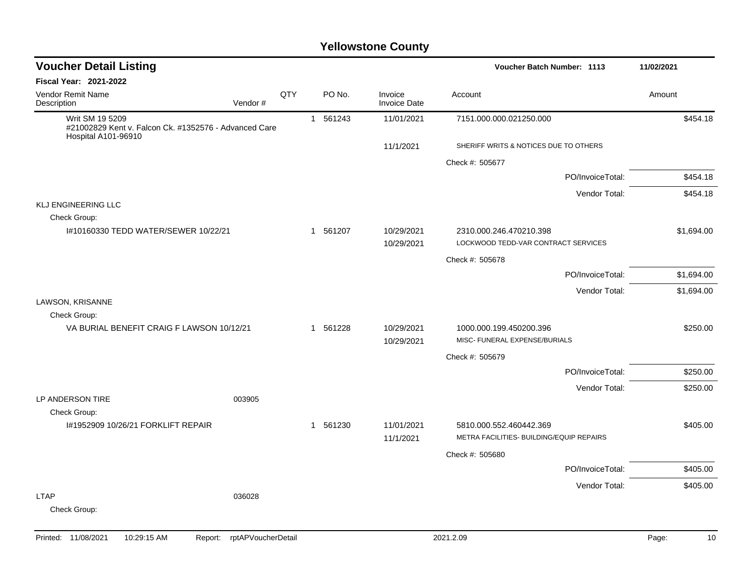| <b>Voucher Detail Listing</b>                                                                   |     |             |                                | 11/02/2021                                                          |            |
|-------------------------------------------------------------------------------------------------|-----|-------------|--------------------------------|---------------------------------------------------------------------|------------|
| <b>Fiscal Year: 2021-2022</b>                                                                   |     |             |                                |                                                                     |            |
| <b>Vendor Remit Name</b><br>Description<br>Vendor#                                              | QTY | PO No.      | Invoice<br><b>Invoice Date</b> | Account                                                             | Amount     |
| Writ SM 19 5209<br>#21002829 Kent v. Falcon Ck. #1352576 - Advanced Care<br>Hospital A101-96910 |     | 1 561243    | 11/01/2021                     | 7151.000.000.021250.000                                             | \$454.18   |
|                                                                                                 |     |             | 11/1/2021                      | SHERIFF WRITS & NOTICES DUE TO OTHERS                               |            |
|                                                                                                 |     |             |                                | Check #: 505677                                                     |            |
|                                                                                                 |     |             |                                | PO/InvoiceTotal:                                                    | \$454.18   |
|                                                                                                 |     |             |                                | Vendor Total:                                                       | \$454.18   |
| KLJ ENGINEERING LLC                                                                             |     |             |                                |                                                                     |            |
| Check Group:<br>I#10160330 TEDD WATER/SEWER 10/22/21                                            |     | 1 561207    | 10/29/2021<br>10/29/2021       | 2310.000.246.470210.398<br>LOCKWOOD TEDD-VAR CONTRACT SERVICES      | \$1,694.00 |
|                                                                                                 |     |             |                                | Check #: 505678                                                     |            |
|                                                                                                 |     |             |                                | PO/InvoiceTotal:                                                    | \$1,694.00 |
|                                                                                                 |     |             |                                | Vendor Total:                                                       | \$1,694.00 |
| LAWSON, KRISANNE<br>Check Group:                                                                |     |             |                                |                                                                     |            |
| VA BURIAL BENEFIT CRAIG F LAWSON 10/12/21                                                       |     | 1 561228    | 10/29/2021<br>10/29/2021       | 1000.000.199.450200.396<br>MISC- FUNERAL EXPENSE/BURIALS            | \$250.00   |
|                                                                                                 |     |             |                                | Check #: 505679                                                     |            |
|                                                                                                 |     |             |                                | PO/InvoiceTotal:                                                    | \$250.00   |
| LP ANDERSON TIRE<br>003905                                                                      |     |             |                                | Vendor Total:                                                       | \$250.00   |
| Check Group:                                                                                    |     |             |                                |                                                                     |            |
| I#1952909 10/26/21 FORKLIFT REPAIR                                                              |     | 561230<br>1 | 11/01/2021<br>11/1/2021        | 5810.000.552.460442.369<br>METRA FACILITIES- BUILDING/EQUIP REPAIRS | \$405.00   |
|                                                                                                 |     |             |                                | Check #: 505680                                                     |            |
|                                                                                                 |     |             |                                | PO/InvoiceTotal:                                                    | \$405.00   |
|                                                                                                 |     |             |                                | Vendor Total:                                                       | \$405.00   |
| <b>LTAP</b><br>036028<br>Check Group:                                                           |     |             |                                |                                                                     |            |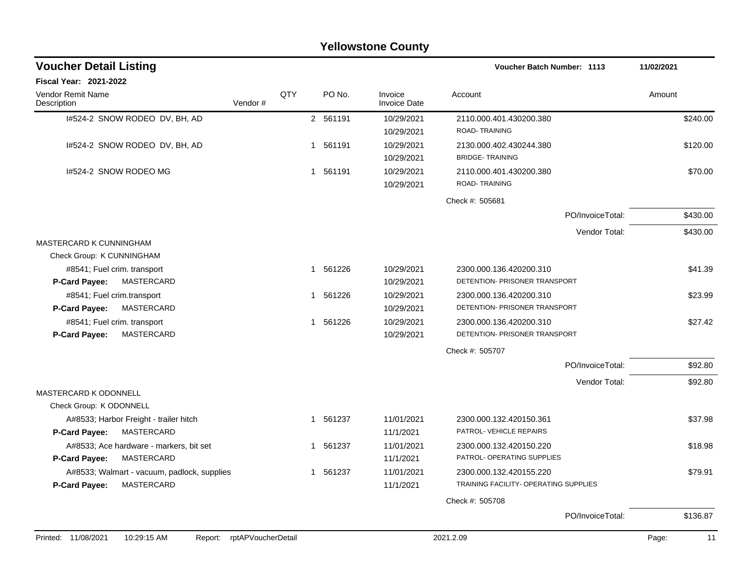| <b>Yellowstone County</b>                                                    |                                               |              |          |                                |                                                                  |                  |              |  |  |  |  |
|------------------------------------------------------------------------------|-----------------------------------------------|--------------|----------|--------------------------------|------------------------------------------------------------------|------------------|--------------|--|--|--|--|
| <b>Voucher Detail Listing</b>                                                |                                               |              |          |                                | Voucher Batch Number: 1113                                       |                  | 11/02/2021   |  |  |  |  |
| <b>Fiscal Year: 2021-2022</b>                                                |                                               |              |          |                                |                                                                  |                  |              |  |  |  |  |
| Vendor Remit Name<br>Vendor#<br>Description                                  | QTY                                           |              | PO No.   | Invoice<br><b>Invoice Date</b> | Account                                                          |                  | Amount       |  |  |  |  |
| I#524-2 SNOW RODEO DV, BH, AD                                                |                                               |              | 2 561191 | 10/29/2021<br>10/29/2021       | 2110.000.401.430200.380<br>ROAD-TRAINING                         |                  | \$240.00     |  |  |  |  |
| 1#524-2 SNOW RODEO DV, BH, AD                                                |                                               | 1            | 561191   | 10/29/2021<br>10/29/2021       | 2130.000.402.430244.380<br><b>BRIDGE-TRAINING</b>                |                  | \$120.00     |  |  |  |  |
| I#524-2 SNOW RODEO MG                                                        |                                               | 1            | 561191   | 10/29/2021<br>10/29/2021       | 2110.000.401.430200.380<br><b>ROAD-TRAINING</b>                  |                  | \$70.00      |  |  |  |  |
|                                                                              |                                               |              |          |                                | Check #: 505681                                                  |                  |              |  |  |  |  |
|                                                                              |                                               |              |          |                                |                                                                  | PO/InvoiceTotal: | \$430.00     |  |  |  |  |
|                                                                              |                                               |              |          |                                |                                                                  | Vendor Total:    | \$430.00     |  |  |  |  |
| MASTERCARD K CUNNINGHAM                                                      |                                               |              |          |                                |                                                                  |                  |              |  |  |  |  |
| Check Group: K CUNNINGHAM                                                    |                                               |              |          |                                |                                                                  |                  |              |  |  |  |  |
| #8541; Fuel crim. transport<br>P-Card Payee:<br>MASTERCARD                   |                                               | $\mathbf{1}$ | 561226   | 10/29/2021<br>10/29/2021       | 2300.000.136.420200.310<br>DETENTION- PRISONER TRANSPORT         |                  | \$41.39      |  |  |  |  |
| #8541; Fuel crim.transport                                                   |                                               | $\mathbf{1}$ | 561226   | 10/29/2021                     | 2300.000.136.420200.310                                          |                  | \$23.99      |  |  |  |  |
| <b>P-Card Payee:</b><br>MASTERCARD                                           |                                               |              |          | 10/29/2021                     | DETENTION- PRISONER TRANSPORT                                    |                  |              |  |  |  |  |
| #8541; Fuel crim. transport<br>P-Card Payee:<br>MASTERCARD                   |                                               | $\mathbf{1}$ | 561226   | 10/29/2021<br>10/29/2021       | 2300.000.136.420200.310<br>DETENTION- PRISONER TRANSPORT         |                  | \$27.42      |  |  |  |  |
|                                                                              |                                               |              |          |                                |                                                                  |                  |              |  |  |  |  |
|                                                                              |                                               |              |          |                                | Check #: 505707                                                  | PO/InvoiceTotal: | \$92.80      |  |  |  |  |
|                                                                              |                                               |              |          |                                |                                                                  |                  |              |  |  |  |  |
| MASTERCARD K ODONNELL<br>Check Group: K ODONNELL                             |                                               |              |          |                                |                                                                  | Vendor Total:    | \$92.80      |  |  |  |  |
| A#8533; Harbor Freight - trailer hitch<br>MASTERCARD<br><b>P-Card Payee:</b> |                                               | $\mathbf 1$  | 561237   | 11/01/2021<br>11/1/2021        | 2300.000.132.420150.361<br>PATROL- VEHICLE REPAIRS               |                  | \$37.98      |  |  |  |  |
| A#8533; Ace hardware - markers, bit set                                      |                                               | 1            | 561237   | 11/01/2021                     | 2300.000.132.420150.220                                          |                  | \$18.98      |  |  |  |  |
| MASTERCARD<br>P-Card Payee:                                                  |                                               |              |          | 11/1/2021                      | PATROL- OPERATING SUPPLIES                                       |                  |              |  |  |  |  |
| A#8533; Walmart - vacuum, padlock, supplies<br>MASTERCARD<br>P-Card Payee:   |                                               | $\mathbf{1}$ | 561237   | 11/01/2021<br>11/1/2021        | 2300.000.132.420155.220<br>TRAINING FACILITY- OPERATING SUPPLIES |                  | \$79.91      |  |  |  |  |
|                                                                              |                                               |              |          |                                | Check #: 505708                                                  |                  |              |  |  |  |  |
|                                                                              |                                               |              |          |                                |                                                                  | PO/InvoiceTotal: | \$136.87     |  |  |  |  |
| $40.00 \times 7$<br>11000001<br>$\mathbf{D}$                                 | $(1.8, \overline{D}1.1)$ . The same state $T$ |              |          |                                | 0.001000                                                         |                  | $\mathbf{D}$ |  |  |  |  |

#### Printed: 11/08/2021 10:29:15 AM Report: rptAPVoucherDetail 2021.2.09 2021.2.09 Page: 11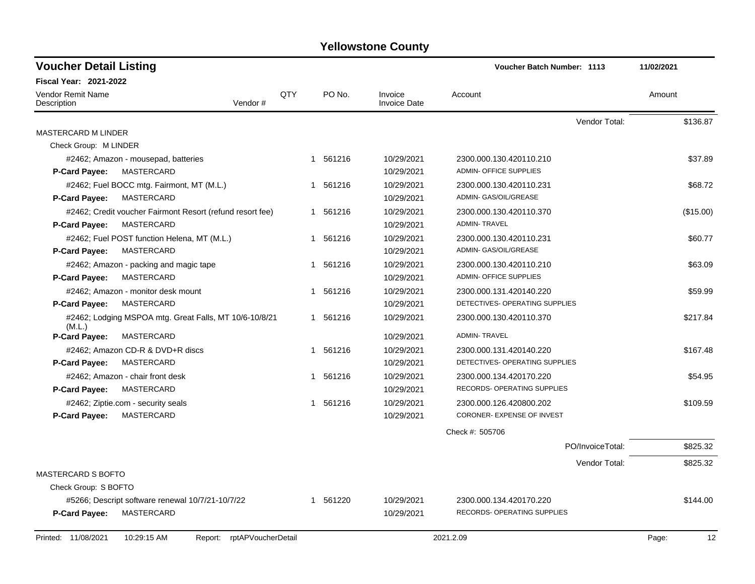| <b>Voucher Detail Listing</b>    |                                                           |     |          |                                | <b>Voucher Batch Number: 1113</b> | 11/02/2021  |
|----------------------------------|-----------------------------------------------------------|-----|----------|--------------------------------|-----------------------------------|-------------|
| Fiscal Year: 2021-2022           |                                                           |     |          |                                |                                   |             |
| Vendor Remit Name<br>Description | Vendor#                                                   | QTY | PO No.   | Invoice<br><b>Invoice Date</b> | Account                           | Amount      |
|                                  |                                                           |     |          |                                | Vendor Total:                     | \$136.87    |
| <b>MASTERCARD M LINDER</b>       |                                                           |     |          |                                |                                   |             |
| Check Group: M LINDER            |                                                           |     |          |                                |                                   |             |
|                                  | #2462; Amazon - mousepad, batteries                       |     | 1 561216 | 10/29/2021                     | 2300.000.130.420110.210           | \$37.89     |
| <b>P-Card Payee:</b>             | <b>MASTERCARD</b>                                         |     |          | 10/29/2021                     | <b>ADMIN- OFFICE SUPPLIES</b>     |             |
|                                  | #2462; Fuel BOCC mtg. Fairmont, MT (M.L.)                 |     | 1 561216 | 10/29/2021                     | 2300.000.130.420110.231           | \$68.72     |
| <b>P-Card Payee:</b>             | MASTERCARD                                                |     |          | 10/29/2021                     | ADMIN- GAS/OIL/GREASE             |             |
|                                  | #2462; Credit voucher Fairmont Resort (refund resort fee) |     | 1 561216 | 10/29/2021                     | 2300.000.130.420110.370           | (\$15.00)   |
| P-Card Payee:                    | MASTERCARD                                                |     |          | 10/29/2021                     | <b>ADMIN-TRAVEL</b>               |             |
|                                  | #2462; Fuel POST function Helena, MT (M.L.)               |     | 1 561216 | 10/29/2021                     | 2300.000.130.420110.231           | \$60.77     |
| <b>P-Card Payee:</b>             | <b>MASTERCARD</b>                                         |     |          | 10/29/2021                     | ADMIN- GAS/OIL/GREASE             |             |
|                                  | #2462; Amazon - packing and magic tape                    | 1   | 561216   | 10/29/2021                     | 2300.000.130.420110.210           | \$63.09     |
| <b>P-Card Payee:</b>             | MASTERCARD                                                |     |          | 10/29/2021                     | <b>ADMIN- OFFICE SUPPLIES</b>     |             |
|                                  | #2462; Amazon - monitor desk mount                        | 1   | 561216   | 10/29/2021                     | 2300.000.131.420140.220           | \$59.99     |
| <b>P-Card Payee:</b>             | MASTERCARD                                                |     |          | 10/29/2021                     | DETECTIVES- OPERATING SUPPLIES    |             |
| (M.L.)                           | #2462; Lodging MSPOA mtg. Great Falls, MT 10/6-10/8/21    |     | 1 561216 | 10/29/2021                     | 2300.000.130.420110.370           | \$217.84    |
| <b>P-Card Payee:</b>             | <b>MASTERCARD</b>                                         |     |          | 10/29/2021                     | <b>ADMIN-TRAVEL</b>               |             |
|                                  | #2462; Amazon CD-R & DVD+R discs                          | 1   | 561216   | 10/29/2021                     | 2300.000.131.420140.220           | \$167.48    |
| <b>P-Card Payee:</b>             | MASTERCARD                                                |     |          | 10/29/2021                     | DETECTIVES- OPERATING SUPPLIES    |             |
|                                  | #2462; Amazon - chair front desk                          | 1   | 561216   | 10/29/2021                     | 2300.000.134.420170.220           | \$54.95     |
| P-Card Payee:                    | MASTERCARD                                                |     |          | 10/29/2021                     | RECORDS- OPERATING SUPPLIES       |             |
|                                  | #2462; Ziptie.com - security seals                        |     | 1 561216 | 10/29/2021                     | 2300.000.126.420800.202           | \$109.59    |
| <b>P-Card Payee:</b>             | <b>MASTERCARD</b>                                         |     |          | 10/29/2021                     | CORONER- EXPENSE OF INVEST        |             |
|                                  |                                                           |     |          |                                | Check #: 505706                   |             |
|                                  |                                                           |     |          |                                | PO/InvoiceTotal:                  | \$825.32    |
|                                  |                                                           |     |          |                                | Vendor Total:                     | \$825.32    |
| <b>MASTERCARD S BOFTO</b>        |                                                           |     |          |                                |                                   |             |
| Check Group: S BOFTO             |                                                           |     |          |                                |                                   |             |
|                                  | #5266; Descript software renewal 10/7/21-10/7/22          |     | 1 561220 | 10/29/2021                     | 2300.000.134.420170.220           | \$144.00    |
| <b>P-Card Payee:</b>             | <b>MASTERCARD</b>                                         |     |          | 10/29/2021                     | RECORDS- OPERATING SUPPLIES       |             |
| Printed: 11/08/2021              | 10:29:15 AM<br>rptAPVoucherDetail<br>Report:              |     |          |                                | 2021.2.09                         | 12<br>Page: |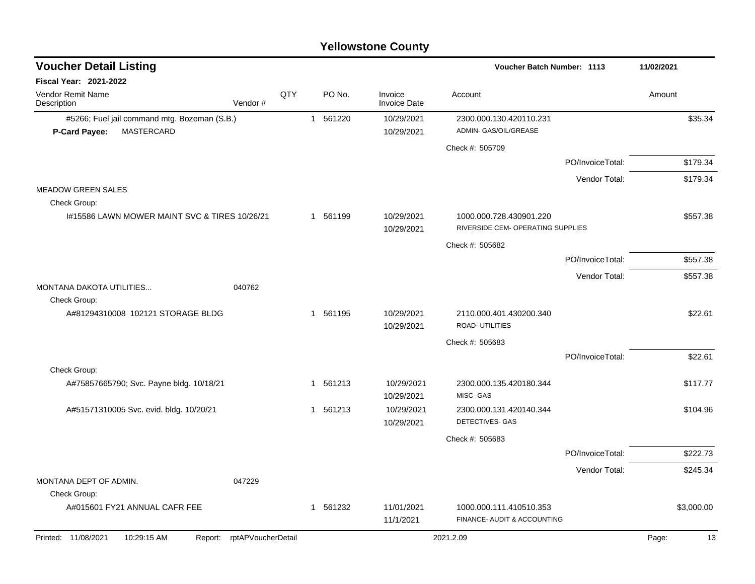| <b>Voucher Detail Listing</b>                 |                    |     |              |          |                                | Voucher Batch Number: 1113                                   |                  | 11/02/2021  |
|-----------------------------------------------|--------------------|-----|--------------|----------|--------------------------------|--------------------------------------------------------------|------------------|-------------|
| Fiscal Year: 2021-2022                        |                    |     |              |          |                                |                                                              |                  |             |
| <b>Vendor Remit Name</b><br>Description       | Vendor#            | QTY |              | PO No.   | Invoice<br><b>Invoice Date</b> | Account                                                      |                  | Amount      |
| #5266; Fuel jail command mtg. Bozeman (S.B.)  |                    |     |              | 1 561220 | 10/29/2021                     | 2300.000.130.420110.231                                      |                  | \$35.34     |
| MASTERCARD<br>P-Card Payee:                   |                    |     |              |          | 10/29/2021                     | ADMIN- GAS/OIL/GREASE                                        |                  |             |
|                                               |                    |     |              |          |                                | Check #: 505709                                              |                  |             |
|                                               |                    |     |              |          |                                |                                                              | PO/InvoiceTotal: | \$179.34    |
|                                               |                    |     |              |          |                                |                                                              | Vendor Total:    | \$179.34    |
| <b>MEADOW GREEN SALES</b><br>Check Group:     |                    |     |              |          |                                |                                                              |                  |             |
| I#15586 LAWN MOWER MAINT SVC & TIRES 10/26/21 |                    |     |              | 1 561199 | 10/29/2021<br>10/29/2021       | 1000.000.728.430901.220<br>RIVERSIDE CEM- OPERATING SUPPLIES |                  | \$557.38    |
|                                               |                    |     |              |          |                                | Check #: 505682                                              |                  |             |
|                                               |                    |     |              |          |                                |                                                              | PO/InvoiceTotal: | \$557.38    |
|                                               |                    |     |              |          |                                |                                                              | Vendor Total:    | \$557.38    |
| MONTANA DAKOTA UTILITIES<br>Check Group:      | 040762             |     |              |          |                                |                                                              |                  |             |
| A#81294310008 102121 STORAGE BLDG             |                    |     |              | 1 561195 | 10/29/2021<br>10/29/2021       | 2110.000.401.430200.340<br>ROAD- UTILITIES                   |                  | \$22.61     |
|                                               |                    |     |              |          |                                | Check #: 505683                                              |                  |             |
|                                               |                    |     |              |          |                                |                                                              | PO/InvoiceTotal: | \$22.61     |
| Check Group:                                  |                    |     |              |          |                                |                                                              |                  |             |
| A#75857665790; Svc. Payne bldg. 10/18/21      |                    |     | 1            | 561213   | 10/29/2021<br>10/29/2021       | 2300.000.135.420180.344<br>MISC-GAS                          |                  | \$117.77    |
| A#51571310005 Svc. evid. bldg. 10/20/21       |                    |     | $\mathbf{1}$ | 561213   | 10/29/2021<br>10/29/2021       | 2300.000.131.420140.344<br>DETECTIVES- GAS                   |                  | \$104.96    |
|                                               |                    |     |              |          |                                | Check #: 505683                                              |                  |             |
|                                               |                    |     |              |          |                                |                                                              | PO/InvoiceTotal: | \$222.73    |
|                                               |                    |     |              |          |                                |                                                              | Vendor Total:    | \$245.34    |
| MONTANA DEPT OF ADMIN.                        | 047229             |     |              |          |                                |                                                              |                  |             |
| Check Group:                                  |                    |     |              |          |                                |                                                              |                  |             |
| A#015601 FY21 ANNUAL CAFR FEE                 |                    |     |              | 1 561232 | 11/01/2021<br>11/1/2021        | 1000.000.111.410510.353<br>FINANCE- AUDIT & ACCOUNTING       |                  | \$3,000.00  |
| Printed: 11/08/2021<br>10:29:15 AM<br>Report: | rptAPVoucherDetail |     |              |          |                                | 2021.2.09                                                    |                  | Page:<br>13 |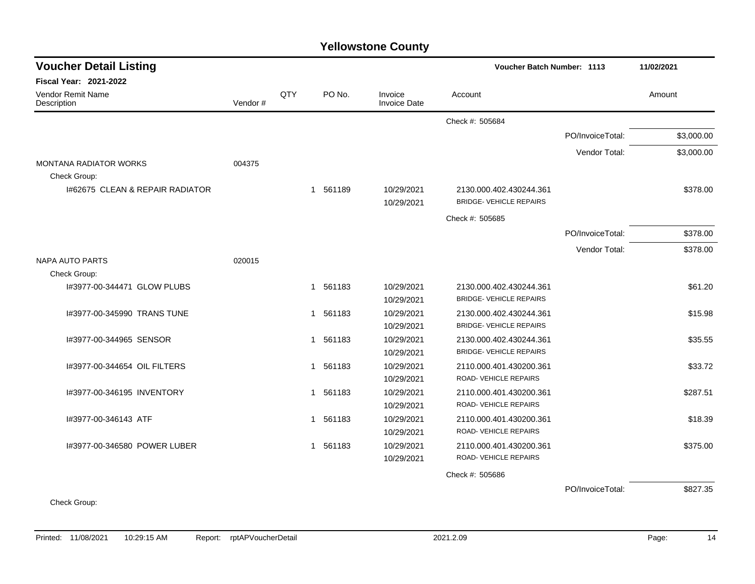| <b>Voucher Detail Listing</b>    |         |     |                        |                                |                                                           | Voucher Batch Number: 1113 |            |  |  |  |
|----------------------------------|---------|-----|------------------------|--------------------------------|-----------------------------------------------------------|----------------------------|------------|--|--|--|
| <b>Fiscal Year: 2021-2022</b>    |         |     |                        |                                |                                                           |                            |            |  |  |  |
| Vendor Remit Name<br>Description | Vendor# | QTY | PO No.                 | Invoice<br><b>Invoice Date</b> | Account                                                   |                            | Amount     |  |  |  |
|                                  |         |     |                        |                                | Check #: 505684                                           |                            |            |  |  |  |
|                                  |         |     |                        |                                |                                                           | PO/InvoiceTotal:           | \$3,000.00 |  |  |  |
|                                  |         |     |                        |                                |                                                           | Vendor Total:              | \$3,000.00 |  |  |  |
| <b>MONTANA RADIATOR WORKS</b>    | 004375  |     |                        |                                |                                                           |                            |            |  |  |  |
| Check Group:                     |         |     |                        |                                |                                                           |                            |            |  |  |  |
| 1#62675 CLEAN & REPAIR RADIATOR  |         |     | 1 561189               | 10/29/2021<br>10/29/2021       | 2130.000.402.430244.361<br><b>BRIDGE- VEHICLE REPAIRS</b> |                            | \$378.00   |  |  |  |
|                                  |         |     |                        |                                | Check #: 505685                                           |                            |            |  |  |  |
|                                  |         |     |                        |                                |                                                           | PO/InvoiceTotal:           | \$378.00   |  |  |  |
|                                  |         |     |                        |                                |                                                           | Vendor Total:              | \$378.00   |  |  |  |
| <b>NAPA AUTO PARTS</b>           | 020015  |     |                        |                                |                                                           |                            |            |  |  |  |
| Check Group:                     |         |     |                        |                                |                                                           |                            |            |  |  |  |
| 1#3977-00-344471 GLOW PLUBS      |         |     | 1 561183               | 10/29/2021                     | 2130.000.402.430244.361                                   |                            | \$61.20    |  |  |  |
|                                  |         |     |                        | 10/29/2021                     | <b>BRIDGE-VEHICLE REPAIRS</b>                             |                            |            |  |  |  |
| I#3977-00-345990 TRANS TUNE      |         |     | 561183<br>1            | 10/29/2021                     | 2130.000.402.430244.361                                   |                            | \$15.98    |  |  |  |
|                                  |         |     |                        | 10/29/2021                     | <b>BRIDGE- VEHICLE REPAIRS</b>                            |                            |            |  |  |  |
| 1#3977-00-344965 SENSOR          |         |     | 561183<br>1            | 10/29/2021                     | 2130.000.402.430244.361                                   |                            | \$35.55    |  |  |  |
|                                  |         |     |                        | 10/29/2021                     | <b>BRIDGE-VEHICLE REPAIRS</b>                             |                            |            |  |  |  |
| I#3977-00-344654 OIL FILTERS     |         |     | 561183<br>1            | 10/29/2021                     | 2110.000.401.430200.361                                   |                            | \$33.72    |  |  |  |
|                                  |         |     |                        | 10/29/2021                     | ROAD-VEHICLE REPAIRS                                      |                            |            |  |  |  |
| I#3977-00-346195 INVENTORY       |         |     | 561183<br>$\mathbf{1}$ | 10/29/2021                     | 2110.000.401.430200.361                                   |                            | \$287.51   |  |  |  |
|                                  |         |     |                        | 10/29/2021                     | ROAD-VEHICLE REPAIRS                                      |                            |            |  |  |  |
| I#3977-00-346143 ATF             |         |     | 561183<br>1            | 10/29/2021                     | 2110.000.401.430200.361                                   |                            | \$18.39    |  |  |  |
|                                  |         |     |                        | 10/29/2021                     | ROAD-VEHICLE REPAIRS                                      |                            |            |  |  |  |
| I#3977-00-346580 POWER LUBER     |         |     | 561183<br>1            | 10/29/2021                     | 2110.000.401.430200.361                                   |                            | \$375.00   |  |  |  |
|                                  |         |     |                        | 10/29/2021                     | ROAD-VEHICLE REPAIRS                                      |                            |            |  |  |  |
|                                  |         |     |                        |                                | Check #: 505686                                           |                            |            |  |  |  |
|                                  |         |     |                        |                                |                                                           | PO/InvoiceTotal:           | \$827.35   |  |  |  |
| $\sim$ $\sim$                    |         |     |                        |                                |                                                           |                            |            |  |  |  |

Check Group: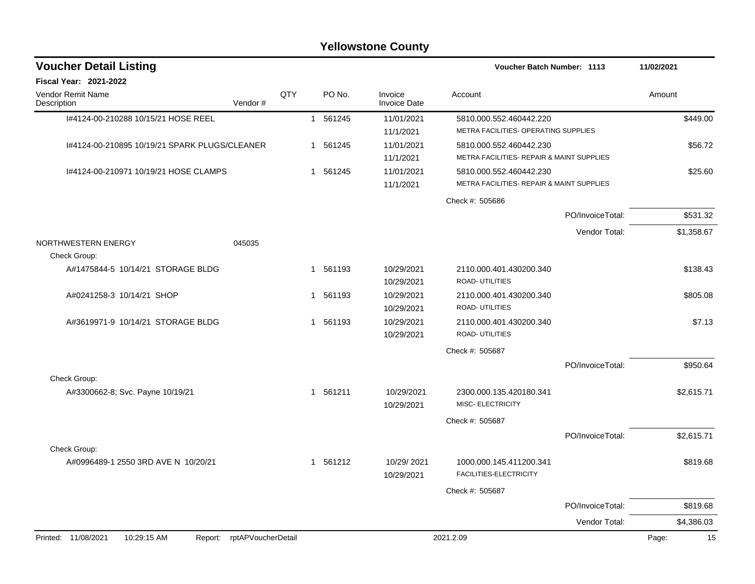| <b>Voucher Detail Listing</b>                 |                            |     |   |          | Voucher Batch Number: 1113     |                                                                      | 11/02/2021       |             |
|-----------------------------------------------|----------------------------|-----|---|----------|--------------------------------|----------------------------------------------------------------------|------------------|-------------|
| <b>Fiscal Year: 2021-2022</b>                 |                            |     |   |          |                                |                                                                      |                  |             |
| Vendor Remit Name<br>Description              | Vendor#                    | QTY |   | PO No.   | Invoice<br><b>Invoice Date</b> | Account                                                              |                  | Amount      |
| I#4124-00-210288 10/15/21 HOSE REEL           |                            |     |   | 1 561245 | 11/01/2021<br>11/1/2021        | 5810.000.552.460442.220<br>METRA FACILITIES- OPERATING SUPPLIES      |                  | \$449.00    |
| 1#4124-00-210895 10/19/21 SPARK PLUGS/CLEANER |                            |     | 1 | 561245   | 11/01/2021<br>11/1/2021        | 5810.000.552.460442.230<br>METRA FACILITIES- REPAIR & MAINT SUPPLIES |                  | \$56.72     |
| 1#4124-00-210971 10/19/21 HOSE CLAMPS         |                            |     |   | 1 561245 | 11/01/2021<br>11/1/2021        | 5810.000.552.460442.230<br>METRA FACILITIES- REPAIR & MAINT SUPPLIES |                  | \$25.60     |
|                                               |                            |     |   |          |                                | Check #: 505686                                                      |                  |             |
|                                               |                            |     |   |          |                                |                                                                      | PO/InvoiceTotal: | \$531.32    |
|                                               |                            |     |   |          |                                |                                                                      | Vendor Total:    | \$1,358.67  |
| NORTHWESTERN ENERGY<br>Check Group:           | 045035                     |     |   |          |                                |                                                                      |                  |             |
| A#1475844-5 10/14/21 STORAGE BLDG             |                            |     | 1 | 561193   | 10/29/2021<br>10/29/2021       | 2110.000.401.430200.340<br><b>ROAD-UTILITIES</b>                     |                  | \$138.43    |
| A#0241258-3 10/14/21 SHOP                     |                            |     | 1 | 561193   | 10/29/2021<br>10/29/2021       | 2110.000.401.430200.340<br>ROAD- UTILITIES                           |                  | \$805.08    |
| A#3619971-9 10/14/21 STORAGE BLDG             |                            |     | 1 | 561193   | 10/29/2021<br>10/29/2021       | 2110.000.401.430200.340<br><b>ROAD- UTILITIES</b>                    |                  | \$7.13      |
|                                               |                            |     |   |          |                                | Check #: 505687                                                      |                  |             |
|                                               |                            |     |   |          |                                |                                                                      | PO/InvoiceTotal: | \$950.64    |
| Check Group:                                  |                            |     |   |          |                                |                                                                      |                  |             |
| A#3300662-8; Svc. Payne 10/19/21              |                            |     |   | 1 561211 | 10/29/2021<br>10/29/2021       | 2300.000.135.420180.341<br>MISC- ELECTRICITY                         |                  | \$2,615.71  |
|                                               |                            |     |   |          |                                | Check #: 505687                                                      |                  |             |
|                                               |                            |     |   |          |                                |                                                                      | PO/InvoiceTotal: | \$2,615.71  |
| Check Group:                                  |                            |     |   |          |                                |                                                                      |                  |             |
| A#0996489-1 2550 3RD AVE N 10/20/21           |                            |     |   | 1 561212 | 10/29/2021<br>10/29/2021       | 1000.000.145.411200.341<br>FACILITIES-ELECTRICITY                    |                  | \$819.68    |
|                                               |                            |     |   |          |                                | Check #: 505687                                                      |                  |             |
|                                               |                            |     |   |          |                                |                                                                      | PO/InvoiceTotal: | \$819.68    |
|                                               |                            |     |   |          |                                |                                                                      | Vendor Total:    | \$4,386.03  |
| Printed: 11/08/2021<br>10:29:15 AM            | Report: rptAPVoucherDetail |     |   |          |                                | 2021.2.09                                                            |                  | 15<br>Page: |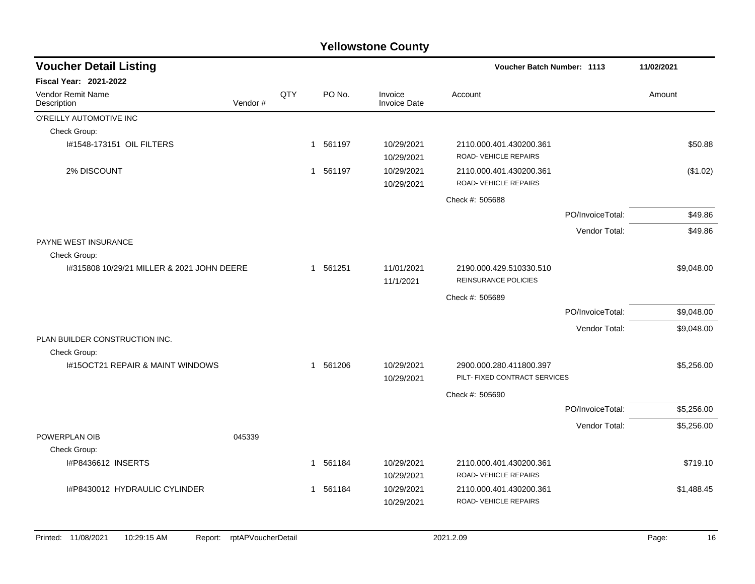| <b>Voucher Detail Listing</b>                 |                    |          |                         |                                                        | Voucher Batch Number: 1113                               |                  | 11/02/2021  |
|-----------------------------------------------|--------------------|----------|-------------------------|--------------------------------------------------------|----------------------------------------------------------|------------------|-------------|
| <b>Fiscal Year: 2021-2022</b>                 |                    |          |                         |                                                        |                                                          |                  |             |
| <b>Vendor Remit Name</b><br>Description       | Vendor#            | QTY      | PO No.                  | Invoice<br><b>Invoice Date</b>                         | Account                                                  |                  | Amount      |
| O'REILLY AUTOMOTIVE INC                       |                    |          |                         |                                                        |                                                          |                  |             |
| Check Group:                                  |                    |          |                         |                                                        |                                                          |                  |             |
| 1#1548-173151 OIL FILTERS                     |                    |          | 1 561197                | 10/29/2021<br>10/29/2021                               | 2110.000.401.430200.361<br>ROAD- VEHICLE REPAIRS         |                  | \$50.88     |
| 2% DISCOUNT                                   |                    |          | 1 561197                | 10/29/2021<br>10/29/2021                               | 2110.000.401.430200.361<br>ROAD-VEHICLE REPAIRS          |                  | (\$1.02)    |
|                                               |                    |          |                         |                                                        | Check #: 505688                                          |                  |             |
|                                               |                    |          |                         |                                                        |                                                          | PO/InvoiceTotal: | \$49.86     |
|                                               |                    |          |                         |                                                        |                                                          | Vendor Total:    | \$49.86     |
| <b>PAYNE WEST INSURANCE</b><br>Check Group:   |                    |          |                         |                                                        |                                                          |                  |             |
| 1#315808 10/29/21 MILLER & 2021 JOHN DEERE    |                    | 1 561251 | 11/01/2021<br>11/1/2021 | 2190.000.429.510330.510<br><b>REINSURANCE POLICIES</b> |                                                          | \$9,048.00       |             |
|                                               |                    |          |                         | Check #: 505689                                        |                                                          |                  |             |
|                                               |                    |          |                         |                                                        |                                                          | PO/InvoiceTotal: | \$9,048.00  |
|                                               |                    |          |                         |                                                        |                                                          | Vendor Total:    | \$9,048.00  |
| PLAN BUILDER CONSTRUCTION INC.                |                    |          |                         |                                                        |                                                          |                  |             |
| Check Group:                                  |                    |          |                         |                                                        |                                                          |                  |             |
| I#15OCT21 REPAIR & MAINT WINDOWS              |                    |          | 1 561206                | 10/29/2021<br>10/29/2021                               | 2900.000.280.411800.397<br>PILT- FIXED CONTRACT SERVICES |                  | \$5,256.00  |
|                                               |                    |          |                         |                                                        | Check #: 505690                                          |                  |             |
|                                               |                    |          |                         |                                                        |                                                          | PO/InvoiceTotal: | \$5,256.00  |
|                                               |                    |          |                         |                                                        |                                                          | Vendor Total:    | \$5,256.00  |
| POWERPLAN OIB                                 | 045339             |          |                         |                                                        |                                                          |                  |             |
| Check Group:                                  |                    |          |                         |                                                        |                                                          |                  |             |
| I#P8436612 INSERTS                            |                    |          | 561184<br>$\mathbf{1}$  | 10/29/2021<br>10/29/2021                               | 2110.000.401.430200.361<br>ROAD-VEHICLE REPAIRS          |                  | \$719.10    |
| I#P8430012 HYDRAULIC CYLINDER                 |                    |          | 1 561184                | 10/29/2021<br>10/29/2021                               | 2110.000.401.430200.361<br>ROAD-VEHICLE REPAIRS          |                  | \$1,488.45  |
| Printed: 11/08/2021<br>10:29:15 AM<br>Report: | rptAPVoucherDetail |          |                         |                                                        | 2021.2.09                                                |                  | Page:<br>16 |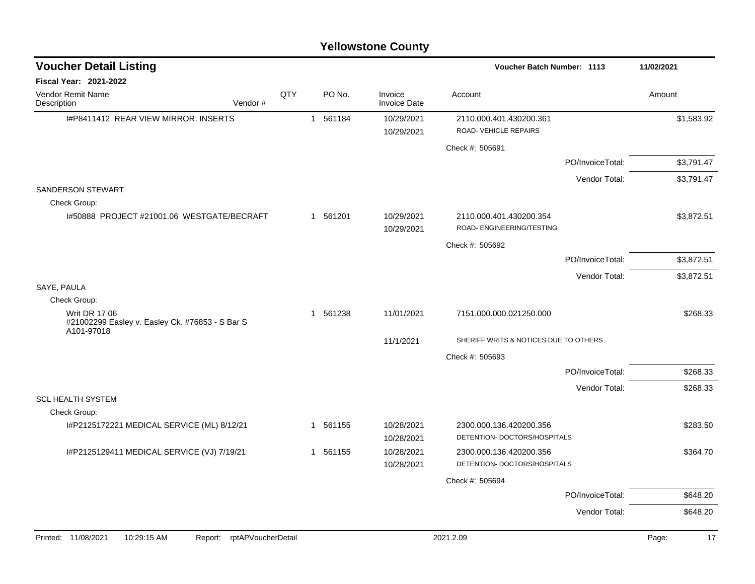| <b>Voucher Detail Listing</b>                                                         |     |          |                                | Voucher Batch Number: 1113                              |                  | 11/02/2021  |
|---------------------------------------------------------------------------------------|-----|----------|--------------------------------|---------------------------------------------------------|------------------|-------------|
| <b>Fiscal Year: 2021-2022</b>                                                         |     |          |                                |                                                         |                  |             |
| Vendor Remit Name<br>Vendor#<br>Description                                           | QTY | PO No.   | Invoice<br><b>Invoice Date</b> | Account                                                 |                  | Amount      |
| I#P8411412 REAR VIEW MIRROR, INSERTS                                                  |     | 1 561184 | 10/29/2021<br>10/29/2021       | 2110.000.401.430200.361<br>ROAD-VEHICLE REPAIRS         |                  | \$1,583.92  |
|                                                                                       |     |          |                                | Check #: 505691                                         |                  |             |
|                                                                                       |     |          |                                |                                                         | PO/InvoiceTotal: | \$3,791.47  |
|                                                                                       |     |          |                                |                                                         | Vendor Total:    | \$3,791.47  |
| <b>SANDERSON STEWART</b><br>Check Group:                                              |     |          |                                |                                                         |                  |             |
| 1#50888 PROJECT #21001.06 WESTGATE/BECRAFT                                            |     | 1 561201 | 10/29/2021<br>10/29/2021       | 2110.000.401.430200.354<br>ROAD- ENGINEERING/TESTING    |                  | \$3,872.51  |
|                                                                                       |     |          |                                | Check #: 505692                                         |                  |             |
|                                                                                       |     |          |                                |                                                         | PO/InvoiceTotal: | \$3,872.51  |
|                                                                                       |     |          |                                |                                                         | Vendor Total:    | \$3,872.51  |
| SAYE, PAULA                                                                           |     |          |                                |                                                         |                  |             |
| Check Group:                                                                          |     |          |                                |                                                         |                  |             |
| <b>Writ DR 17 06</b><br>#21002299 Easley v. Easley Ck. #76853 - S Bar S<br>A101-97018 |     | 1 561238 | 11/01/2021                     | 7151.000.000.021250.000                                 |                  | \$268.33    |
|                                                                                       |     |          | 11/1/2021                      | SHERIFF WRITS & NOTICES DUE TO OTHERS                   |                  |             |
|                                                                                       |     |          |                                | Check #: 505693                                         |                  |             |
|                                                                                       |     |          |                                |                                                         | PO/InvoiceTotal: | \$268.33    |
|                                                                                       |     |          |                                |                                                         | Vendor Total:    | \$268.33    |
| <b>SCL HEALTH SYSTEM</b>                                                              |     |          |                                |                                                         |                  |             |
| Check Group:                                                                          |     |          |                                |                                                         |                  |             |
| I#P2125172221 MEDICAL SERVICE (ML) 8/12/21                                            |     | 1 561155 | 10/28/2021<br>10/28/2021       | 2300.000.136.420200.356<br>DETENTION- DOCTORS/HOSPITALS |                  | \$283.50    |
| I#P2125129411 MEDICAL SERVICE (VJ) 7/19/21                                            |     | 1 561155 | 10/28/2021                     | 2300.000.136.420200.356                                 |                  | \$364.70    |
|                                                                                       |     |          | 10/28/2021                     | DETENTION- DOCTORS/HOSPITALS                            |                  |             |
|                                                                                       |     |          |                                | Check #: 505694                                         |                  |             |
|                                                                                       |     |          |                                |                                                         | PO/InvoiceTotal: | \$648.20    |
|                                                                                       |     |          |                                |                                                         | Vendor Total:    | \$648.20    |
|                                                                                       |     |          |                                |                                                         |                  |             |
| Printed: 11/08/2021<br>10:29:15 AM<br>rptAPVoucherDetail<br>Report:                   |     |          |                                | 2021.2.09                                               |                  | 17<br>Page: |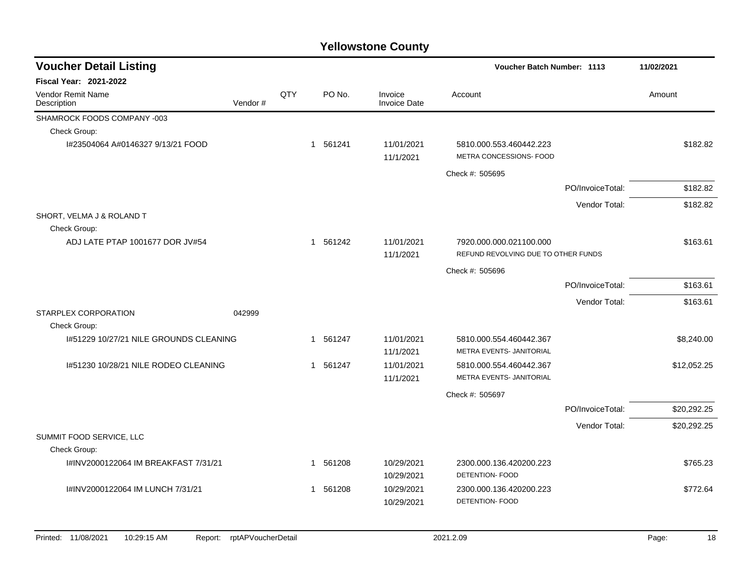| <b>Voucher Detail Listing</b>                 |                    |     |             |                                | <b>Voucher Batch Number: 1113</b>                              |                  |             |
|-----------------------------------------------|--------------------|-----|-------------|--------------------------------|----------------------------------------------------------------|------------------|-------------|
| <b>Fiscal Year: 2021-2022</b>                 |                    |     |             |                                |                                                                |                  |             |
| <b>Vendor Remit Name</b><br>Description       | Vendor#            | QTY | PO No.      | Invoice<br><b>Invoice Date</b> | Account                                                        |                  | Amount      |
| SHAMROCK FOODS COMPANY -003                   |                    |     |             |                                |                                                                |                  |             |
| Check Group:                                  |                    |     |             |                                |                                                                |                  |             |
| I#23504064 A#0146327 9/13/21 FOOD             |                    |     | 1 561241    | 11/01/2021<br>11/1/2021        | 5810.000.553.460442.223<br>METRA CONCESSIONS- FOOD             |                  | \$182.82    |
|                                               |                    |     |             |                                | Check #: 505695                                                |                  |             |
|                                               |                    |     |             |                                |                                                                | PO/InvoiceTotal: | \$182.82    |
|                                               |                    |     |             |                                |                                                                | Vendor Total:    | \$182.82    |
| SHORT, VELMA J & ROLAND T                     |                    |     |             |                                |                                                                |                  |             |
| Check Group:                                  |                    |     |             |                                |                                                                |                  |             |
| ADJ LATE PTAP 1001677 DOR JV#54               |                    |     | 1 561242    | 11/01/2021<br>11/1/2021        | 7920.000.000.021100.000<br>REFUND REVOLVING DUE TO OTHER FUNDS |                  | \$163.61    |
|                                               |                    |     |             |                                | Check #: 505696                                                |                  |             |
|                                               |                    |     |             |                                |                                                                | PO/InvoiceTotal: | \$163.61    |
|                                               |                    |     |             |                                |                                                                | Vendor Total:    | \$163.61    |
| STARPLEX CORPORATION<br>Check Group:          | 042999             |     |             |                                |                                                                |                  |             |
| 1#51229 10/27/21 NILE GROUNDS CLEANING        |                    |     | 1 561247    | 11/01/2021<br>11/1/2021        | 5810.000.554.460442.367<br>METRA EVENTS- JANITORIAL            |                  | \$8,240.00  |
| 1#51230 10/28/21 NILE RODEO CLEANING          |                    |     | 1 561247    | 11/01/2021                     | 5810.000.554.460442.367                                        |                  | \$12,052.25 |
|                                               |                    |     |             | 11/1/2021                      | METRA EVENTS- JANITORIAL                                       |                  |             |
|                                               |                    |     |             |                                | Check #: 505697                                                |                  |             |
|                                               |                    |     |             |                                |                                                                | PO/InvoiceTotal: | \$20,292.25 |
|                                               |                    |     |             |                                |                                                                | Vendor Total:    | \$20,292.25 |
| SUMMIT FOOD SERVICE, LLC                      |                    |     |             |                                |                                                                |                  |             |
| Check Group:                                  |                    |     |             |                                |                                                                |                  |             |
| I#INV2000122064 IM BREAKFAST 7/31/21          |                    |     | 1 561208    | 10/29/2021<br>10/29/2021       | 2300.000.136.420200.223<br>DETENTION- FOOD                     |                  | \$765.23    |
| I#INV2000122064 IM LUNCH 7/31/21              |                    |     | 561208<br>1 | 10/29/2021<br>10/29/2021       | 2300.000.136.420200.223<br><b>DETENTION- FOOD</b>              |                  | \$772.64    |
| Printed: 11/08/2021<br>10:29:15 AM<br>Report: | rptAPVoucherDetail |     |             |                                | 2021.2.09                                                      |                  | 18<br>Page: |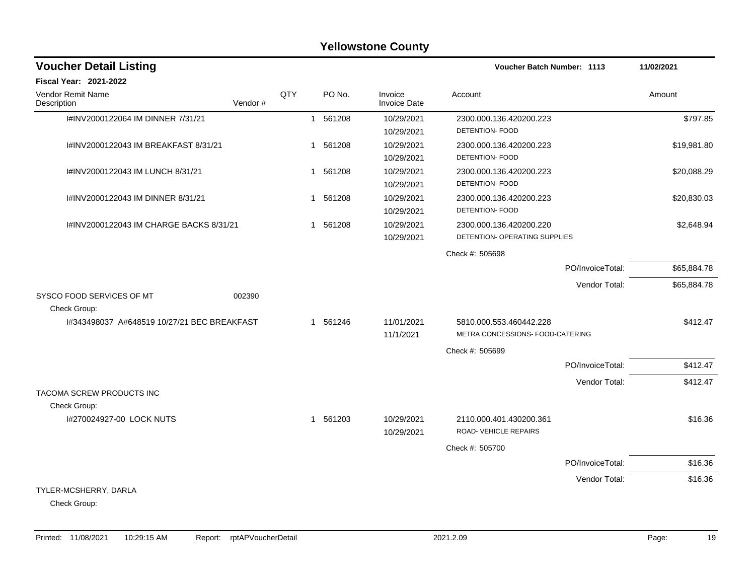|                                             |     |             | <b>Yellowstone County</b>      |                                                             |             |
|---------------------------------------------|-----|-------------|--------------------------------|-------------------------------------------------------------|-------------|
| <b>Voucher Detail Listing</b>               |     |             |                                | Voucher Batch Number: 1113                                  | 11/02/2021  |
| Fiscal Year: 2021-2022                      |     |             |                                |                                                             |             |
| Vendor Remit Name<br>Vendor#<br>Description | QTY | PO No.      | Invoice<br><b>Invoice Date</b> | Account                                                     | Amount      |
| I#INV2000122064 IM DINNER 7/31/21           |     | 1 561208    | 10/29/2021<br>10/29/2021       | 2300.000.136.420200.223<br>DETENTION- FOOD                  | \$797.85    |
| I#INV2000122043 IM BREAKFAST 8/31/21        |     | 561208<br>1 | 10/29/2021<br>10/29/2021       | 2300.000.136.420200.223<br>DETENTION- FOOD                  | \$19,981.80 |
| I#INV2000122043 IM LUNCH 8/31/21            |     | 561208<br>1 | 10/29/2021<br>10/29/2021       | 2300.000.136.420200.223<br>DETENTION- FOOD                  | \$20,088.29 |
| I#INV2000122043 IM DINNER 8/31/21           |     | 1 561208    | 10/29/2021<br>10/29/2021       | 2300.000.136.420200.223<br>DETENTION- FOOD                  | \$20,830.03 |
| I#INV2000122043 IM CHARGE BACKS 8/31/21     |     | 1 561208    | 10/29/2021<br>10/29/2021       | 2300.000.136.420200.220<br>DETENTION- OPERATING SUPPLIES    | \$2,648.94  |
|                                             |     |             |                                | Check #: 505698                                             |             |
|                                             |     |             |                                | PO/InvoiceTotal:                                            | \$65,884.78 |
| SYSCO FOOD SERVICES OF MT<br>002390         |     |             |                                | Vendor Total:                                               | \$65,884.78 |
| Check Group:                                |     |             |                                |                                                             |             |
| I#343498037 A#648519 10/27/21 BEC BREAKFAST |     | 1 561246    | 11/01/2021<br>11/1/2021        | 5810.000.553.460442.228<br>METRA CONCESSIONS- FOOD-CATERING | \$412.47    |
|                                             |     |             |                                | Check #: 505699                                             |             |
|                                             |     |             |                                | PO/InvoiceTotal:                                            | \$412.47    |
| TACOMA SCREW PRODUCTS INC                   |     |             |                                | Vendor Total:                                               | \$412.47    |
| Check Group:                                |     |             |                                |                                                             |             |
| I#270024927-00 LOCK NUTS                    |     | 1 561203    | 10/29/2021<br>10/29/2021       | 2110.000.401.430200.361<br>ROAD-VEHICLE REPAIRS             | \$16.36     |
|                                             |     |             |                                | Check #: 505700                                             |             |
|                                             |     |             |                                | PO/InvoiceTotal:                                            | \$16.36     |
|                                             |     |             |                                | Vendor Total:                                               | \$16.36     |
| TYLER-MCSHERRY, DARLA<br>Check Group:       |     |             |                                |                                                             |             |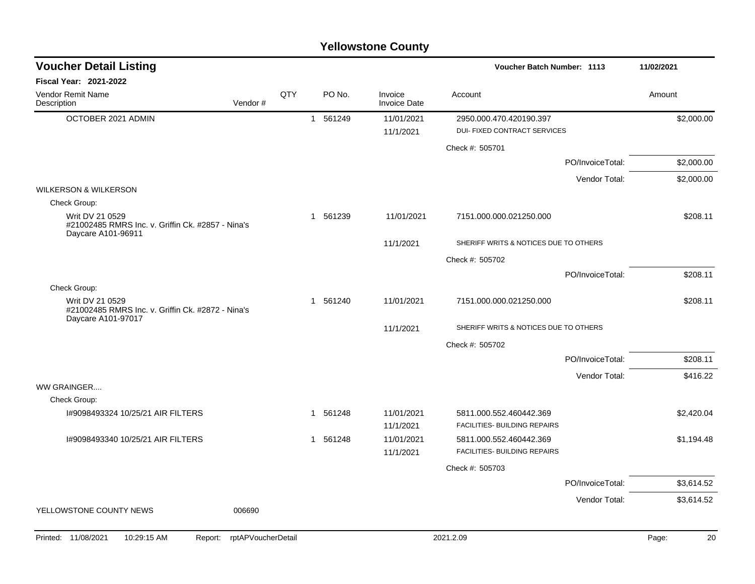| <b>Voucher Detail Listing</b>                                                              |                    |     |    |          |                                | <b>Voucher Batch Number: 1113</b>                       |                  | 11/02/2021  |
|--------------------------------------------------------------------------------------------|--------------------|-----|----|----------|--------------------------------|---------------------------------------------------------|------------------|-------------|
| Fiscal Year: 2021-2022                                                                     |                    |     |    |          |                                |                                                         |                  |             |
| Vendor Remit Name<br>Description                                                           | Vendor#            | QTY |    | PO No.   | Invoice<br><b>Invoice Date</b> | Account                                                 |                  | Amount      |
| OCTOBER 2021 ADMIN                                                                         |                    |     |    | 1 561249 | 11/01/2021<br>11/1/2021        | 2950.000.470.420190.397<br>DUI- FIXED CONTRACT SERVICES |                  | \$2,000.00  |
|                                                                                            |                    |     |    |          |                                | Check #: 505701                                         |                  |             |
|                                                                                            |                    |     |    |          |                                |                                                         | PO/InvoiceTotal: | \$2,000.00  |
|                                                                                            |                    |     |    |          |                                |                                                         | Vendor Total:    | \$2,000.00  |
| <b>WILKERSON &amp; WILKERSON</b>                                                           |                    |     |    |          |                                |                                                         |                  |             |
| Check Group:                                                                               |                    |     |    |          |                                |                                                         |                  |             |
| Writ DV 21 0529<br>#21002485 RMRS Inc. v. Griffin Ck. #2857 - Nina's<br>Daycare A101-96911 |                    |     | -1 | 561239   | 11/01/2021                     | 7151.000.000.021250.000                                 |                  | \$208.11    |
|                                                                                            |                    |     |    |          | 11/1/2021                      | SHERIFF WRITS & NOTICES DUE TO OTHERS                   |                  |             |
|                                                                                            |                    |     |    |          |                                | Check #: 505702                                         |                  |             |
|                                                                                            |                    |     |    |          |                                |                                                         | PO/InvoiceTotal: | \$208.11    |
| Check Group:                                                                               |                    |     |    |          |                                |                                                         |                  |             |
| Writ DV 21 0529<br>#21002485 RMRS Inc. v. Griffin Ck. #2872 - Nina's<br>Daycare A101-97017 |                    |     |    | 1 561240 | 11/01/2021                     | 7151.000.000.021250.000                                 |                  | \$208.11    |
|                                                                                            |                    |     |    |          | 11/1/2021                      | SHERIFF WRITS & NOTICES DUE TO OTHERS                   |                  |             |
|                                                                                            |                    |     |    |          |                                | Check #: 505702                                         |                  |             |
|                                                                                            |                    |     |    |          |                                |                                                         | PO/InvoiceTotal: | \$208.11    |
|                                                                                            |                    |     |    |          |                                |                                                         | Vendor Total:    | \$416.22    |
| WW GRAINGER                                                                                |                    |     |    |          |                                |                                                         |                  |             |
| Check Group:                                                                               |                    |     |    |          |                                |                                                         |                  |             |
| 1#9098493324 10/25/21 AIR FILTERS                                                          |                    |     |    | 1 561248 | 11/01/2021<br>11/1/2021        | 5811.000.552.460442.369<br>FACILITIES- BUILDING REPAIRS |                  | \$2,420.04  |
| 1#9098493340 10/25/21 AIR FILTERS                                                          |                    |     | 1  | 561248   | 11/01/2021                     | 5811.000.552.460442.369                                 |                  | \$1,194.48  |
|                                                                                            |                    |     |    |          | 11/1/2021                      | FACILITIES- BUILDING REPAIRS                            |                  |             |
|                                                                                            |                    |     |    |          |                                | Check #: 505703                                         |                  |             |
|                                                                                            |                    |     |    |          |                                |                                                         | PO/InvoiceTotal: | \$3,614.52  |
|                                                                                            |                    |     |    |          |                                |                                                         | Vendor Total:    | \$3,614.52  |
| YELLOWSTONE COUNTY NEWS                                                                    | 006690             |     |    |          |                                |                                                         |                  |             |
| Printed: 11/08/2021<br>10:29:15 AM<br>Report:                                              | rptAPVoucherDetail |     |    |          |                                | 2021.2.09                                               |                  | 20<br>Page: |